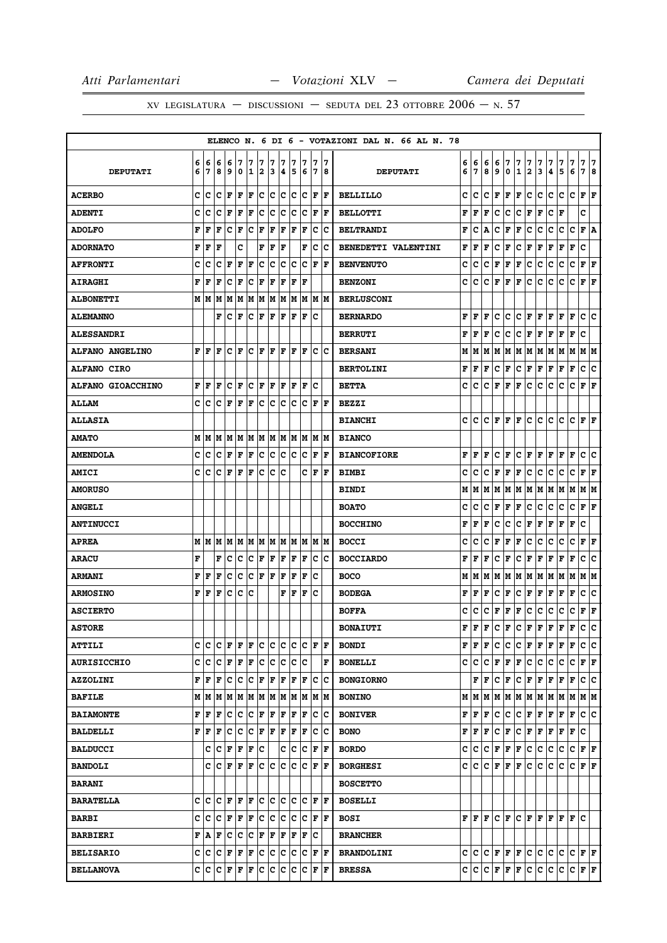|                          |        |        |                                                |        |                                       |                      |                              |        |        |        |                        |     |                         |        | ELENCO N. 6 DI 6 - VOTAZIONI DAL N. 66 AL N. 78 |        |        |        |             |        |                   |                   |              |                                 |        |             |                           |        |
|--------------------------|--------|--------|------------------------------------------------|--------|---------------------------------------|----------------------|------------------------------|--------|--------|--------|------------------------|-----|-------------------------|--------|-------------------------------------------------|--------|--------|--------|-------------|--------|-------------------|-------------------|--------------|---------------------------------|--------|-------------|---------------------------|--------|
| <b>DEPUTATI</b>          | 6<br>6 | 6<br>7 | 6<br>8                                         | 6<br>9 | 7<br>0                                | 7<br>1               | 7<br>$\overline{\mathbf{2}}$ | 7<br>3 | 7<br>4 | 7<br>5 | 7<br>6                 | 7   | 7                       | 7<br>8 | <b>DEPUTATI</b>                                 | 6<br>6 | 6<br>7 | 6<br>8 | 6<br>9      | 7<br>0 | 7<br>$\mathbf{1}$ | 7<br>$\mathbf{2}$ | 7<br>3       | 7<br>4                          | 7<br>5 | 7<br>6      | 7<br>7                    | 7<br>8 |
| <b>ACERBO</b>            | c      | c      | c                                              | F      | F                                     | F                    | c                            | lc.    | c      | c      | Ιc                     |     | $ {\bf F}  {\bf F} $    |        | <b>BELLILLO</b>                                 | c      | c      | c      | F           | F      | F                 | c                 | c            | c                               | c      | c           | F                         | l F    |
| <b>ADENTI</b>            | c      | c      | c                                              | F      | $\mathbf F$                           | F                    | c                            | c      | c      | c      | c                      | F   | ١F                      |        | <b>BELLOTTI</b>                                 | F      | F      | F      | c           | с      | c                 | F                 | F            | c                               | F      |             | c                         |        |
| <b>ADOLFO</b>            | F      | F      | F                                              | c      | F                                     | c                    | F                            | F      | F      | F      | F                      | lc. | Ιc                      |        | <b>BELTRANDI</b>                                | F      | C      | А      | c           | F      | F                 | c                 | c            | c                               | с      | c           | F                         | Α      |
| <b>ADORNATO</b>          | F      | F      | F                                              |        | c                                     |                      | F                            | F      | ΙF     |        | F                      | c   | Ιc                      |        | BENEDETTI VALENTINI                             | F      | F      | F      | c           | F      | с                 | F                 | F            | F                               | F      | F           | c                         |        |
| <b>AFFRONTI</b>          | c      | c      | c                                              | F      | F                                     | F                    | c                            | c      | Ιc     | Ιc     | lc                     | F   | ١F                      |        | <b>BENVENUTO</b>                                | c      | c      | c      | F           | F      | F                 | с                 | с            | с                               | с      | с           | F                         | F      |
| <b>AIRAGHI</b>           | F      | F      | F                                              | с      | F                                     | $ {\bf C}  {\bf F} $ |                              | F      | F      | F      | ١F                     |     |                         |        | <b>BENZONI</b>                                  | с      | c      | с      | F           | F      | F                 | с                 | с            | с                               | c      | c           | ${\bf F} \,   \, {\bf F}$ |        |
| <b>ALBONETTI</b>         |        | MИ     | M                                              | M      | M                                     |                      |                              |        |        |        | M  M  M  M  M  M  M  M |     |                         |        | <b>BERLUSCONI</b>                               |        |        |        |             |        |                   |                   |              |                                 |        |             |                           |        |
| <b>ALEMANNO</b>          |        |        | F                                              | c      | F                                     | Ιc                   | F                            | F      | F      | lF     | F                      | Ιc  |                         |        | <b>BERNARDO</b>                                 | F      | F      | F      | c           | с      | c                 | F                 | F            | F                               | F      | $\mathbf F$ | c                         | ١c     |
| <b>ALESSANDRI</b>        |        |        |                                                |        |                                       |                      |                              |        |        |        |                        |     |                         |        | <b>BERRUTI</b>                                  | F      | F      | F      | c           | с      | c                 | F                 | F            | F                               | F      | $\mathbf F$ | c                         |        |
| <b>ALFANO ANGELINO</b>   | F      | ١F     | F                                              | c      | ١F                                    |                      | C F                          | l F    | ١F     | ΙF     | ١F                     |     | $ {\bf c} \;   {\bf c}$ |        | <b>BERSANI</b>                                  | М      | М      | М      | М           | М      | М                 | M                 | М            | M                               | M      | M           | M   M                     |        |
| <b>ALFANO CIRO</b>       |        |        |                                                |        |                                       |                      |                              |        |        |        |                        |     |                         |        | <b>BERTOLINI</b>                                | F      | F      | F      | с           | F      | с                 | F                 | F            | F                               | F      | F           | с                         | ∣c     |
| <b>ALFANO GIOACCHINO</b> | F      | F      | F                                              | c      | F                                     |                      | $ C $ $\bf{F}$               | F      | F      | F      | lF                     | c   |                         |        | <b>BETTA</b>                                    | c      | c      | c      | F           | F      | F                 | с                 | c            | с                               | c      | c           | F                         | F      |
| <b>ALLAM</b>             |        | c  c   |                                                | C F    | F                                     | F                    |                              |        |        |        | C C C C F F            |     |                         |        | <b>BEZZI</b>                                    |        |        |        |             |        |                   |                   |              |                                 |        |             |                           |        |
| <b>ALLASIA</b>           |        |        |                                                |        |                                       |                      |                              |        |        |        |                        |     |                         |        | <b>BIANCHI</b>                                  | c      | c      | c      | F           | F      | F                 | с                 | c            | с                               | с      | c           | ${\bf F} \mid {\bf F}$    |        |
| <b>AMATO</b>             |        | M   M  | M                                              |        | M  M  M  M  M  M  M  M  M  M          |                      |                              |        |        |        |                        |     |                         |        | <b>BIANCO</b>                                   |        |        |        |             |        |                   |                   |              |                                 |        |             |                           |        |
| <b>AMENDOLA</b>          | C      | c      | c                                              | F      | F                                     | F                    | c                            |        | c c    |        | c c                    | F   | ١F                      |        | <b>BIANCOFIORE</b>                              | F      | F      | F      | c           | F      | c                 | F                 | F            | F                               | F      | F           | c                         | c      |
| <b>AMICI</b>             | c      | c      | c                                              | F      | F                                     | F                    | c                            | lc.    | Ιc     |        | c                      | ΙF  | ١F                      |        | <b>BIMBI</b>                                    | c      | c      | c      | F           | F      | F                 | с                 | c            | c                               | с      | c           | F                         | F      |
| <b>AMORUSO</b>           |        |        |                                                |        |                                       |                      |                              |        |        |        |                        |     |                         |        | <b>BINDI</b>                                    | М      | М      | М      | М           | М      |                   | M   M             | M M          |                                 | MM     |             | M  M                      |        |
| <b>ANGELI</b>            |        |        |                                                |        |                                       |                      |                              |        |        |        |                        |     |                         |        | <b>BOATO</b>                                    | c      | c      | c      | F           | F      | F                 | с                 | с            | с                               | с      | с           | F                         | F      |
| <b>ANTINUCCI</b>         |        |        |                                                |        |                                       |                      |                              |        |        |        |                        |     |                         |        | <b>BOCCHINO</b>                                 | F      | F      | F      | c           | с      | с                 | F                 | F            | F                               | F      | F           | c                         |        |
| <b>APREA</b>             | М      | M      | M                                              |        | M   M   M   M   M   M   M   M   M   M |                      |                              |        |        |        |                        |     |                         |        | <b>BOCCI</b>                                    | c      | c      | c      | F           | F      | F                 | с                 | c            | c                               | c      | с           | F                         | F      |
| <b>ARACU</b>             | F      |        | F                                              | c      | c                                     | c                    | F                            | F      | F      | F      | F                      |     | c c                     |        | <b>BOCCIARDO</b>                                | F      | F      | F      | c           | F      | c                 | F                 | F            | F                               | F      | F           | c                         | c      |
| <b>ARMANI</b>            | F      | F      | F                                              | c      | c                                     | $ {\bf C}  {\bf F} $ |                              | F      | F      | F      | F                      | c   |                         |        | <b>BOCO</b>                                     | М      | М      | М      | М           | М      | М                 | M                 | М            | M                               | M  M   |             | M   M                     |        |
| <b>ARMOSINO</b>          | F      | F      | F                                              | c      | с                                     | c                    |                              |        | F      | F      | F                      | Ιc  |                         |        | <b>BODEGA</b>                                   | F      | F      | F      | c           | F      | с                 | F                 | F            | F                               | F      | F           | с                         | c      |
| <b>ASCIERTO</b>          |        |        |                                                |        |                                       |                      |                              |        |        |        |                        |     |                         |        | <b>BOFFA</b>                                    | c      | c      | с      | F           | F      | F                 | с                 | с            | c                               | c      | c           | F F                       |        |
| <b>ASTORE</b>            |        |        |                                                |        |                                       |                      |                              |        |        |        |                        |     |                         |        | <b>BONAIUTI</b>                                 | F      | F      | F      | c           | F      | c                 | F                 | F            | F                               | F      | F           | с                         | c      |
| <b>ATTILI</b>            | C      | c      |                                                |        | C  F F  F  C  C  C  C  C  F  F        |                      |                              |        |        |        |                        |     |                         |        | <b>BONDI</b>                                    | F      | F      | F      | с           | с      |                   | C F               |              | F F                             | F      | F           | c c                       |        |
| <b>AURISICCHIO</b>       | c      | c      |                                                |        | C F F F                               |                      | $ {\bf c} $                  |        | c c    |        | c c                    |     |                         | F      | <b>BONELLI</b>                                  | c      | c      | c      | F           | F      | F                 | c.                | c            | c                               | c      | c           | FF                        |        |
| <b>AZZOLINI</b>          | F      | ΙF     | F                                              |        | C C C F F F                           |                      |                              |        |        |        | F F                    |     | c c                     |        | <b>BONGIORNO</b>                                |        | F      | F      | c           | F      | c                 |                   |              | F F F F                         |        | $\mathbf F$ | c c                       |        |
| <b>BAFILE</b>            |        | M   M  |                                                |        | MMMMMMMMMMMMM                         |                      |                              |        |        |        |                        |     |                         |        | <b>BONINO</b>                                   | М      | lм     | М      | М           | М      |                   |                   |              | $M$ $M$ $M$ $M$ $M$ $M$ $M$ $M$ |        |             |                           |        |
| <b>BAIAMONTE</b>         | F      | F      | F                                              | c      |                                       | C C F F F F F        |                              |        |        |        |                        |     | c c                     |        | <b>BONIVER</b>                                  | F      | F      | F      | с           | с      | с                 | F                 | F            | F                               | F      | F           | C C                       |        |
| <b>BALDELLI</b>          |        | FF     | F                                              |        | C C C F F F F F C C                   |                      |                              |        |        |        |                        |     |                         |        | <b>BONO</b>                                     | F      | F      | F      | с           | Г      |                   | C F               | $\mathbf{F}$ | F                               | F F    |             | lc.                       |        |
| <b>BALDUCCI</b>          |        | c      |                                                | C F    | F F                                   |                      | lc.                          |        |        |        | C C C F F              |     |                         |        | <b>BORDO</b>                                    | с      | с      | с      | F           | F      | F                 | с                 | c            | с                               | с      | C F F       |                           |        |
| <b>BANDOLI</b>           |        |        | $C  C $ $F  F $ $F  C $ $C  C $ $C  F $ $F  F$ |        |                                       |                      |                              |        |        |        |                        |     |                         |        | <b>BORGHESI</b>                                 | c      | c      | с      | F           | F      | F                 | с                 | с            | с                               | с      | c           | F F                       |        |
| <b>BARANI</b>            |        |        |                                                |        |                                       |                      |                              |        |        |        |                        |     |                         |        | <b>BOSCETTO</b>                                 |        |        |        |             |        |                   |                   |              |                                 |        |             |                           |        |
| <b>BARATELLA</b>         |        | c c    |                                                | C F F  |                                       | F C C C C C F F      |                              |        |        |        |                        |     |                         |        | <b>BOSELLI</b>                                  |        |        |        |             |        |                   |                   |              |                                 |        |             |                           |        |
| <b>BARBI</b>             | c l    | c      |                                                |        | C  F  F  F  C  C  C  C  C  F  F       |                      |                              |        |        |        |                        |     |                         |        | <b>BOSI</b>                                     |        | F F.   | F      | c           | F      |                   |                   |              | C F F F                         |        | F F C       |                           |        |
| <b>BARBIERI</b>          |        | FAI    | F                                              | IC.    |                                       | C C F F F F F C      |                              |        |        |        |                        |     |                         |        | <b>BRANCHER</b>                                 |        |        |        |             |        |                   |                   |              |                                 |        |             |                           |        |
| <b>BELISARIO</b>         |        | c c    |                                                |        | C  F  F  F  C  C  C  C  C  F  F       |                      |                              |        |        |        |                        |     |                         |        | <b>BRANDOLINI</b>                               |        | c c    | c      | $\mathbf F$ | F      | F                 | c                 | $\mathbf{C}$ | c                               |        | C  C  F  F  |                           |        |
| <b>BELLANOVA</b>         |        | c c    |                                                |        | C F F F                               |                      |                              |        |        |        | C C C C F F            |     |                         |        | <b>BRESSA</b>                                   | с      | c      | с      | F           | F      | F                 | c                 | c            | c.                              | с      | c           | F F                       |        |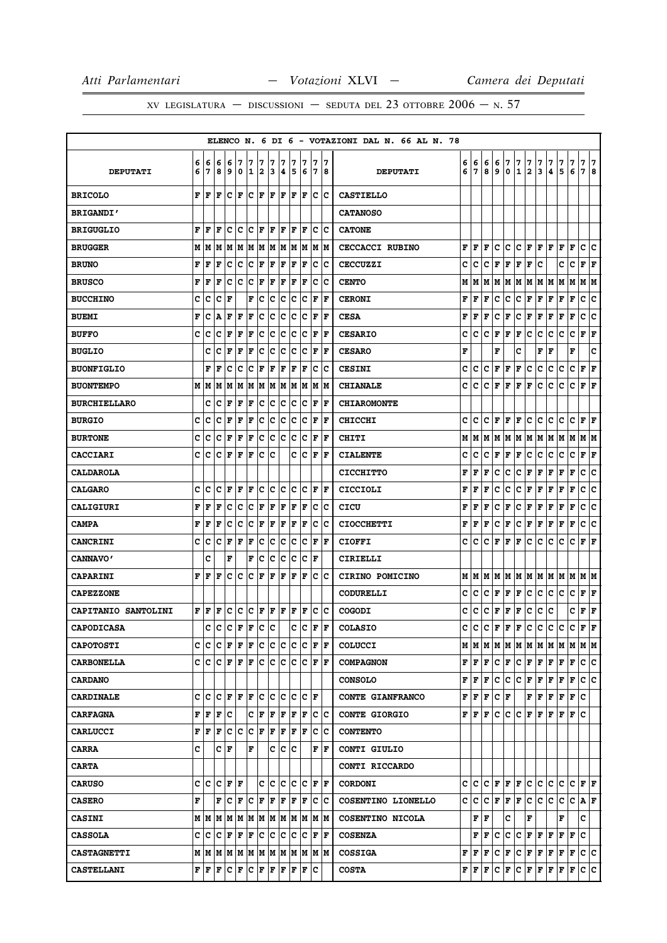|                            |   |                                           |                      |       |     |                      |     |            |     |    |                                                                                                                         |     |                         | ELENCO N. 6 DI 6 - VOTAZIONI DAL N. 66 AL N. 78 |   |                                           |                        |             |     |                             |               |                                |                                                               |         |     |                               |     |
|----------------------------|---|-------------------------------------------|----------------------|-------|-----|----------------------|-----|------------|-----|----|-------------------------------------------------------------------------------------------------------------------------|-----|-------------------------|-------------------------------------------------|---|-------------------------------------------|------------------------|-------------|-----|-----------------------------|---------------|--------------------------------|---------------------------------------------------------------|---------|-----|-------------------------------|-----|
|                            | 6 | 6                                         | 6                    | 6     | 7   | 7                    | 7   | 7          | 7   | 7  | 7                                                                                                                       | 7   | 17                      |                                                 | 6 | 6                                         | 6                      | 6           | 7   | 7                           | $\frac{7}{2}$ | 7                              | 7                                                             | 7       | 7   | 7                             | 17  |
| <b>DEPUTATI</b>            | 6 | 7                                         | 8                    | و ا   | 0   | 12                   |     | 3          | 4   | 5  | 6                                                                                                                       |     | 7  8                    | <b>DEPUTATI</b>                                 | 6 | 7                                         | 8                      | 9           | 0   | $\mathbf 1$                 |               | 3                              | $\overline{\mathbf{4}}$                                       | 5       | 6   | 78                            |     |
| <b>BRICOLO</b>             | F | l F                                       | l F                  | Iс    | F   | $ {\bf C}  {\bf F} $ |     | F F        |     |    | F F                                                                                                                     |     | c c                     | <b>CASTIELLO</b>                                |   |                                           |                        |             |     |                             |               |                                |                                                               |         |     |                               |     |
| <b>BRIGANDI'</b>           |   |                                           |                      |       |     |                      |     |            |     |    |                                                                                                                         |     |                         | <b>CATANOSO</b>                                 |   |                                           |                        |             |     |                             |               |                                |                                                               |         |     |                               |     |
| <b>BRIGUGLIO</b>           | F | F                                         | F                    | c     | Ιc  | Ιc                   | l F | F          | l F | ΙF | F                                                                                                                       | c   | Ιc                      | <b>CATONE</b>                                   |   |                                           |                        |             |     |                             |               |                                |                                                               |         |     |                               |     |
| <b>BRUGGER</b>             | M | M                                         | M                    | M     | M   |                      | M M |            | M M |    | M M                                                                                                                     |     | M M                     | <b>CECCACCI RUBINO</b>                          | F | F                                         | F                      | c           | с   | с                           | F             | F F                            |                                                               | F       | F   | c c                           |     |
| <b>BRUNO</b>               | F | F                                         | l F                  | c     | c   | c                    | F   | F          | F   | F  | F                                                                                                                       | c   | Ιc                      | <b>CECCUZZI</b>                                 | c | c                                         | с                      | F           | F   | F                           | F             | c                              |                                                               | c       | с   | F                             | F   |
| <b>BRUSCO</b>              | F | F                                         | F                    | c     | c   | c                    | F   | F          | F   | F  | F                                                                                                                       | c   | Ιc                      | <b>CENTO</b>                                    | М | M                                         | M                      | М           | M   | M                           | M             | MM                             |                                                               | M       | М   | M   M                         |     |
| <b>BUCCHINO</b>            | c | c                                         | c                    | lF    |     | F                    | c   | Ιc         | c   | lc | lc.                                                                                                                     | F   | F                       | <b>CERONI</b>                                   | F | F                                         | F                      | c           | c   | c                           | F             | F                              | F                                                             | F       | F   | c                             | ١c  |
| <b>BUEMI</b>               | F | c                                         | ۱A                   | F     | F   | F                    | c   | c          | Iс  | c  | Ιc                                                                                                                      | F   | F                       | <b>CESA</b>                                     | F | F                                         | F                      | с           | F   | с                           | Г             | F                              | F                                                             | F       | F   | c                             | c   |
| <b>BUFFO</b>               | c | c                                         | Iс                   | F     | F   | F                    | c   | c          | c   | c  | c                                                                                                                       | F   | ١F                      | <b>CESARIO</b>                                  | с | с                                         | c                      | F           | F   | F                           | c             | c                              | с                                                             | с       | c   | ${\bf F}$ ${\bf F}$           |     |
| <b>BUGLIO</b>              |   | c                                         | Iс                   | l F   | l F | F                    | c   | Ιc         | Iс  | Iс | Ιc                                                                                                                      | F   | lF                      | <b>CESARO</b>                                   | F |                                           |                        | F           |     | c                           |               | F                              | F                                                             |         | F   |                               | c   |
| <b>BUONFIGLIO</b>          |   | F                                         | F                    | c     | Iс  | Ιc                   | F   | F          | F   | F  | F                                                                                                                       |     | $ {\bf c} \;   {\bf c}$ | <b>CESINI</b>                                   | с | с                                         | с                      | F           | F   | F                           | с             | с                              | c                                                             | c       | с   | F F                           |     |
| <b>BUONTEMPO</b>           |   | MM                                        | M                    | M     | M   | M                    | M   | M          | M   | lм | M                                                                                                                       | lМ  | lМ                      | <b>CHIANALE</b>                                 | c | с                                         | с                      | F           | F   | F                           | F             | с                              | с                                                             | с       | c   | ${\bf F} \mid {\bf F}$        |     |
| <b>BURCHIELLARO</b>        |   | c                                         | c                    | l F   | F   | F                    | c   | c          | c   | c  | c                                                                                                                       | F   | F                       | <b>CHIAROMONTE</b>                              |   |                                           |                        |             |     |                             |               |                                |                                                               |         |     |                               |     |
| <b>BURGIO</b>              | c | c                                         | Iс                   | F     | F   | F                    | Iс  | Iс         | Iс  | Iс | Iс                                                                                                                      | F   | ١F                      | <b>CHICCHI</b>                                  | c | с                                         | c                      | F           | F   | F                           | c             | c                              | с                                                             | c       | c   | ${\bf F} \,   \, {\bf F}$     |     |
| <b>BURTONE</b>             | c | с                                         | c                    | F     | F   | F                    | c   | Ιc         | Iс  | Iс | Iс                                                                                                                      | F   | lF                      | <b>CHITI</b>                                    | М | M                                         | M                      | M           | M   |                             |               |                                | M  M  M  M  M  M                                              |         |     | M M                           |     |
| <b>CACCIARI</b>            | c | Ιc                                        | $ {\bf C}  {\bf F} $ |       | F   | F                    | lc. | ١c         |     |    | c c                                                                                                                     |     | $ {\bf F} $ ${\bf F}$   | <b>CIALENTE</b>                                 | с | с                                         | с                      | F           | г   | F                           | c             | с                              | с                                                             | с       | c   | $ {\bf F}  {\bf F} $          |     |
| <b>CALDAROLA</b>           |   |                                           |                      |       |     |                      |     |            |     |    |                                                                                                                         |     |                         | <b>CICCHITTO</b>                                | F | F                                         | F                      | c           | с   | c                           | F             | F                              | F                                                             | F       | F   | c                             | c   |
| <b>CALGARO</b>             | c | c                                         | Iс                   | F F   |     | F                    | IC. | c c        |     |    | $ {\mathbf C}\, {\mathbf C}\, $ F $ {\mathbf F}\, $                                                                     |     |                         | <b>CICCIOLI</b>                                 | F | F                                         | F                      | c           | с   | с                           | F             | F                              | F                                                             | F       | F   | с                             | ∣c  |
| <b>CALIGIURI</b>           | F | F                                         | F                    | c     | c   | c                    | F   | F          | F   | ΙF | F                                                                                                                       | lc. | Ιc                      | CICU                                            | F | F                                         | F                      | с           | F   | c                           | F             | ${\bf F} \mid {\bf F}$         |                                                               | F       | F   | c                             | c   |
| <b>CAMPA</b>               | F | F                                         | F                    | Iс    | c   | c                    | F   | F          | F   | F  | F                                                                                                                       | lc. | lc                      | <b>CIOCCHETTI</b>                               | F | F                                         | F                      | с           | F   | c                           | F             | Г                              | F                                                             | Г       | F   | c                             | ١c  |
| <b>CANCRINI</b>            | c | с                                         | с                    | F     | F   | F                    | Iс  | Iс         | Iс  | Iс | Iс                                                                                                                      | F   | ١F                      | <b>CIOFFI</b>                                   | c | с                                         | с                      | F           | F   | F                           | c             | c                              | c                                                             | c       | c   | $\mathbf{F}   \mathbf{F}$     |     |
| <b>CANNAVO'</b>            |   | c                                         |                      | F     |     | F                    | Iс  | Ιc         | Iс  | Iс | Iс                                                                                                                      | ΙF  |                         | CIRIELLI                                        |   |                                           |                        |             |     |                             |               |                                |                                                               |         |     |                               |     |
| <b>CAPARINI</b>            | F | l F                                       | F                    | c c   |     | $ {\bf C}  {\bf F} $ |     | F          | F   | F  | F                                                                                                                       |     | c c                     | CIRINO POMICINO                                 |   | M   M                                     |                        |             |     |                             |               |                                | M  M  M  M  M  M  M  M  M  M  M                               |         |     |                               |     |
| <b>CAPEZZONE</b>           |   |                                           |                      |       |     |                      |     |            |     |    |                                                                                                                         |     |                         | <b>CODURELLI</b>                                | c | c                                         | с                      | F           | F   | F                           | c             | c                              | c                                                             | c       | c   | ${\bf F} \,   \, {\bf F}$     |     |
| <b>CAPITANIO SANTOLINI</b> |   | F F                                       | F                    | c c   |     | $ {\bf C}  {\bf F} $ |     | F F        |     |    | F F                                                                                                                     |     | c c                     | <b>COGODI</b>                                   | c | с                                         | С                      | F           | F   | F                           | c             | с                              | с                                                             |         | c   | ${\bf F} \,   \, {\bf F}$     |     |
| <b>CAPODICASA</b>          |   | c                                         | c                    | c     | F   | F                    | c   | $ {\bf c}$ |     | c  | c                                                                                                                       | F   | ١F                      | <b>COLASIO</b>                                  | с | c                                         | c                      | $\mathbf F$ | F   | F                           | c             | c                              | c.                                                            | c       | c   | F F                           |     |
| <b>CAPOTOSTI</b>           |   |                                           | C C C F F F C        |       |     |                      |     | c c        |     |    | $ {\tt C}\, {\tt C}\, $ F $ {\tt F}\, $                                                                                 |     |                         | <b>COLUCCI</b>                                  |   |                                           |                        |             |     |                             |               |                                |                                                               |         |     |                               |     |
| <b>CARBONELLA</b>          |   |                                           |                      |       |     |                      |     |            |     |    | C C C F F F C C C C C F F F                                                                                             |     |                         | <b>COMPAGNON</b>                                |   | ${\bf F} \,   \, {\bf F} \,  $            | F                      |             | C F |                             |               |                                | C F F F F F                                                   |         |     | c c                           |     |
| <b>CARDANO</b>             |   |                                           |                      |       |     |                      |     |            |     |    |                                                                                                                         |     |                         | <b>CONSOLO</b>                                  | F | F                                         | F                      | c           | c   |                             | C F           | F                              | F                                                             | F       | F   | c                             | lc. |
| <b>CARDINALE</b>           |   |                                           |                      |       |     |                      |     |            |     |    | $C C E F F C C C C C F F$                                                                                               |     |                         | CONTE GIANFRANCO                                | F | F                                         | F                      |             | C F |                             |               | ${\bf F} \,   \, {\bf F} \,  $ |                                                               | F F F C |     |                               |     |
| <b>CARFAGNA</b>            |   | FF                                        | F                    | Iс    |     | c                    | ΙF  | F F        |     |    | F  F                                                                                                                    |     | c c                     | <b>CONTE GIORGIO</b>                            | F | F                                         | F                      | c           | c   | c                           | F             | F                              | F                                                             | F       | FIC |                               |     |
| <b>CARLUCCI</b>            |   | ${\bf F} \,   \, {\bf F} \,   \, {\bf F}$ |                      | c c   |     | $ {\bf C}  {\bf F} $ |     | F F        |     |    | F F                                                                                                                     |     | $ {\bf c}\> {\bf c}$    | <b>CONTENTO</b>                                 |   |                                           |                        |             |     |                             |               |                                |                                                               |         |     |                               |     |
| <b>CARRA</b>               | c |                                           | с                    | F     |     | F                    |     | с          | Iс  | lc |                                                                                                                         |     | ${\bf F}$ $\bf F$       | CONTI GIULIO                                    |   |                                           |                        |             |     |                             |               |                                |                                                               |         |     |                               |     |
| <b>CARTA</b>               |   |                                           |                      |       |     |                      |     |            |     |    |                                                                                                                         |     |                         | CONTI RICCARDO                                  |   |                                           |                        |             |     |                             |               |                                |                                                               |         |     |                               |     |
| <b>CARUSO</b>              |   | c c c                                     |                      | F  F  |     |                      | с   | lc lc      |     |    | lc Ic                                                                                                                   |     | IF IF                   | <b>CORDONI</b>                                  | C | C                                         |                        |             |     | $C$ $F$ $F$ $F$ $C$ $C$ $C$ |               |                                |                                                               | IС      |     | $ {\bf C}  {\bf F}  {\bf F} $ |     |
| <b>CASERO</b>              | F |                                           | F                    | Ιc    | ΙF  | lc.                  | ١F  | F          | lF. | F  | F                                                                                                                       |     | c c                     | COSENTINO LIONELLO                              | c | с                                         | c                      | F           |     | ${\bf F}$ ${\bf F}$         | c             | c                              | c                                                             | c       | c   | A F                           |     |
| <b>CASINI</b>              |   |                                           |                      |       |     |                      |     |            |     |    | $M$   $M$   $M$   $M$   $M$   $M$   $M$   $M$   $M$   $M$   $M$   $M$                                                   |     |                         | COSENTINO NICOLA                                |   |                                           | ${\bf F} \mid {\bf F}$ |             | с   |                             | F             |                                |                                                               | F       |     | c                             |     |
| <b>CASSOLA</b>             |   | c  c                                      | ١c                   | F F F |     |                      | с   | c c        |     |    | c  c                                                                                                                    |     | $ {\bf F}  {\bf F} $    | <b>COSENZA</b>                                  |   | F                                         | F                      | с           | с   |                             | C F F         |                                | F                                                             | FF      |     | c                             |     |
| <b>CASTAGNETTI</b>         |   |                                           |                      |       |     |                      |     |            |     |    | $M$   $M$   $M$   $M$   $M$   $M$   $M$   $M$   $M$   $M$                                                               |     | M M                     | <b>COSSIGA</b>                                  |   | ${\bf F} \parallel {\bf F} \parallel$     | F                      | с           | Г   |                             |               |                                | C F F F F F                                                   |         |     | c c                           |     |
| <b>CASTELLANI</b>          |   |                                           |                      |       |     |                      |     |            |     |    | ${\bf F}   {\bf F}   {\bf F}   {\bf C}   {\bf F}   {\bf C}   {\bf F}   {\bf F}   {\bf F}   {\bf F}   {\bf F}   {\bf C}$ |     |                         | <b>COSTA</b>                                    |   | ${\bf F} \,   \, {\bf F} \,   \, {\bf F}$ |                        |             | C F |                             |               |                                | $ {\bf C}\, {\bf F}\, {\bf F}\, {\bf F}\, {\bf F}\, {\bf F} $ |         |     | c c                           |     |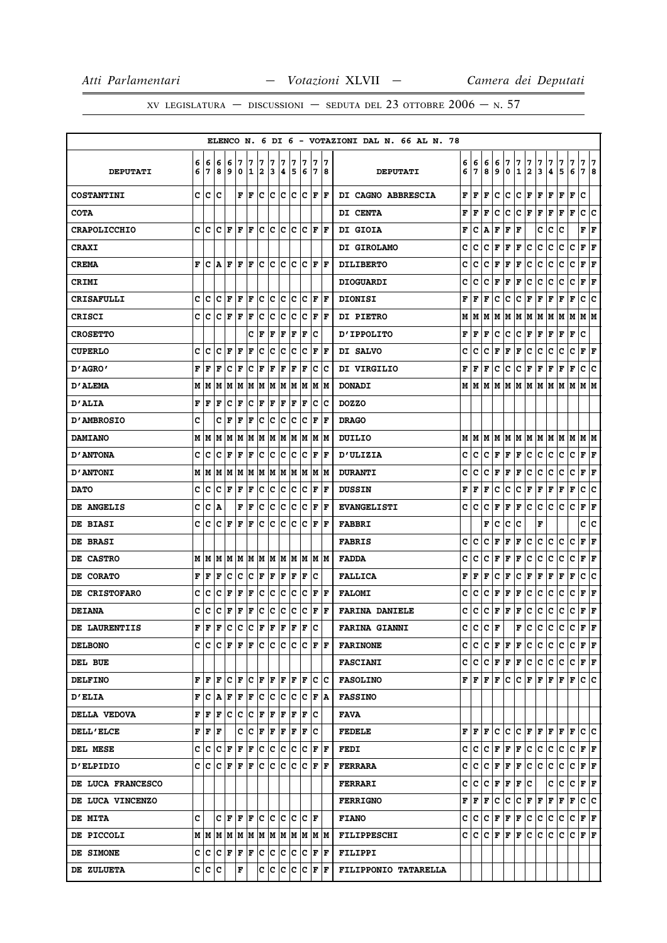|                     |   |                 |     |                                     |             |     |     |       |     |     |     |                  |                      | ELENCO N. 6 DI 6 - VOTAZIONI DAL N. 66 AL N. 78 |   |                                               |    |   |     |     |           |                                                                 |           |                     |                                             |                           |    |
|---------------------|---|-----------------|-----|-------------------------------------|-------------|-----|-----|-------|-----|-----|-----|------------------|----------------------|-------------------------------------------------|---|-----------------------------------------------|----|---|-----|-----|-----------|-----------------------------------------------------------------|-----------|---------------------|---------------------------------------------|---------------------------|----|
|                     | 6 | 6               | 6   | 6                                   | 7           | 7   | 7   | 7     | 7   | 7   | 7   | 7                | 17                   |                                                 | 6 | 6                                             | 6  | 6 | 7   | 7   | 7         | 7                                                               | 7         | 7                   | 7                                           | 7 7                       |    |
| <b>DEPUTATI</b>     | 6 | 7               | 8   | 9                                   | 0           | 1   | 2   | 3     | 4   | 5   | 6   | 17               | 8                    | <b>DEPUTATI</b>                                 | 6 | $\overline{7}$                                | 8  | 9 | 0   | 1   | $\vert$ 2 | 3                                                               | 4         | 5                   | 6                                           | 7 8                       |    |
| <b>COSTANTINI</b>   | c | lc              | c   |                                     | F           | F   | lc. | lc.   | lc. | lc. | Ιc  | F                | ١F                   | DI CAGNO ABBRESCIA                              | F | F                                             | F  | c | c   | c   | F         | F                                                               | F         | F                   | F                                           | c                         |    |
| <b>COTA</b>         |   |                 |     |                                     |             |     |     |       |     |     |     |                  |                      | DI CENTA                                        | F | F                                             | F  | с | c   | C F |           | F F                                                             |           | F                   | F                                           | c                         | ١c |
| <b>CRAPOLICCHIO</b> | c | Iс              | c   | F                                   | l F         | F   | c   | c     | c   | c   | Ιc  | F                | lF.                  | DI GIOIA                                        | F | c                                             | А  | F | F   | F   |           | c                                                               | с         | c                   |                                             | ${\bf F} \mid {\bf F}$    |    |
| <b>CRAXI</b>        |   |                 |     |                                     |             |     |     |       |     |     |     |                  |                      | DI GIROLAMO                                     | c | с                                             | с  | F | F   | F   | c         | c                                                               | с         | с                   | c                                           | ${\bf F} \mid {\bf F}$    |    |
| <b>CREMA</b>        | F | c               | A   | F                                   | l F         | F   | c   | c     | с   | c   | Ιc  | F                | ١F                   | <b>DILIBERTO</b>                                | c | с                                             | с  | F | г   | F   | c         | с                                                               | c         | с                   | с                                           | F                         | F  |
| CRIMI               |   |                 |     |                                     |             |     |     |       |     |     |     |                  |                      | <b>DIOGUARDI</b>                                | c | c                                             | c  | F | F   | F   | c         | c                                                               | c         | c                   | c                                           | ${\bf F}$ ${\bf F}$       |    |
| <b>CRISAFULLI</b>   | C | c               | c   | F                                   | l F         | l F | c   | lc.   | lc  | c   | Ιc  | l F              | F                    | <b>DIONISI</b>                                  | F | F                                             | F  | c | c   | C F |           | F                                                               | F         | F                   | F                                           | c                         | ١c |
| <b>CRISCI</b>       | c | с               | c   | F                                   | F           | F   | c   | c     | с   | c   | Ιc  | F                | lF                   | <b>DI PIETRO</b>                                | М | M                                             | lМ | M |     |     |           |                                                                 |           | M  M  M  M  M  M  M |                                             | M  M                      |    |
| <b>CROSETTO</b>     |   |                 |     |                                     |             | c   | F   | F     | F   | l F | F   | c                |                      | <b>D'IPPOLITO</b>                               | F | F                                             | F  | c | c   | C F |           | F F                                                             |           | F F                 |                                             | c                         |    |
| <b>CUPERLO</b>      | c | c               | c   | F                                   | F           | F   | c   | c     | c   | c   | c   | F                | F                    | DI SALVO                                        | c | с                                             | c  | F | F   | F   | с         | с                                                               | с         | с                   | с                                           | ${\bf F} \,   \, {\bf F}$ |    |
| "AGRO מ             | F | F               | F   | c                                   | F           | c   | F   | F     | F   | F   | F   | c                | ΙC                   | DI VIRGILIO                                     | F | F                                             | F  | с | с   | с   | F         | F                                                               | F         | F                   | F                                           | c c                       |    |
| <b>D'ALEMA</b>      | M | M               | М   | M                                   | M           | M   | M   | M     | M   | lм  | M   | M                | lМ                   | <b>DONADI</b>                                   | М | M                                             | M  | М | lм  |     |           | M M M M                                                         |           | M                   | M                                           | M M                       |    |
| <b>D'ALIA</b>       | F | F               | F   | c                                   | F           | c   | F   | F     | F   | F   | F   | c                | Ιc                   | <b>DOZZO</b>                                    |   |                                               |    |   |     |     |           |                                                                 |           |                     |                                             |                           |    |
| <b>D'AMBROSIO</b>   | C |                 | c   | F                                   | F           | F   | c   | c     | с   | c   | Ιc  | l F              | l F                  | <b>DRAGO</b>                                    |   |                                               |    |   |     |     |           |                                                                 |           |                     |                                             |                           |    |
| <b>DAMIANO</b>      | М | M               | lМ  | M                                   | M           | M   | M   | M     | M   | M   | M   | M                | lМ                   | <b>DUILIO</b>                                   | М |                                               |    |   |     |     |           |                                                                 |           |                     |                                             |                           |    |
| <b>D'ANTONA</b>     | c | c               | c   | F                                   | F           | F   | c   | c     | c   | c   | c   | ΙF               | lF                   | <b>D'ULIZIA</b>                                 | c | с                                             | с  |   | F F | F   | lc.       | c                                                               | lc.       | c                   | c                                           | F F                       |    |
| <b>D'ANTONI</b>     | М | M               | M   | lМ                                  | M           | M   | M   | M     | M   | M   | M   | lм               | lМ                   | <b>DURANTI</b>                                  | c | c                                             | c  | F | F   | F   | с         | с                                                               | с         | c                   | с                                           | ${\bf F} \,   \, {\bf F}$ |    |
| <b>DATO</b>         | c | c               | c   | F                                   | F           | F   | ∣c  | c     | c   | c   | c   | F                | F                    | <b>DUSSIN</b>                                   | F | F                                             | F  | с | c   | с   | F         | F                                                               | Г         | г                   | F                                           | c                         | ∣c |
| DE ANGELIS          | c | c               | А   |                                     | F           | F   | c   | c     | c   | c   | c   | $\mathbf F$      | l F                  | <b>EVANGELISTI</b>                              | c | c                                             | c  | F | F   | F   | c         | c                                                               | c         | c                   | c                                           | ${\bf F} \mid {\bf F}$    |    |
| DE BIASI            | C | Iс              | c   | F                                   | l F         | F   | c   | lc.   | lc  | lc. | lc. | F                | ١F                   | <b>FABBRI</b>                                   |   |                                               | F  | c | c   | c   |           | F                                                               |           |                     |                                             | c c                       |    |
| DE BRASI            |   |                 |     |                                     |             |     |     |       |     |     |     |                  |                      | <b>FABRIS</b>                                   | c | c                                             | c  | F | F   | F   | c         | c                                                               | с         | c                   | с                                           | ${\bf F} \mid {\bf F}$    |    |
| DE CASTRO           | M | lМ              | lМ  | M                                   | lМ          | M M |     | M M   |     |     | M M |                  | IM IM                | <b>FADDA</b>                                    | c | с                                             | c  | F | F   | F   | c         | с                                                               | c         | c                   | c                                           | ${\bf F}$ ${\bf F}$       |    |
| DE CORATO           | F | F               | F   | c                                   | c           | c   | F   | F     | F   | F   | F   | lc               |                      | <b>FALLICA</b>                                  | F | F                                             | F  | c | F   | c   | F         | F                                                               | F         | F                   | F                                           | c c                       |    |
| DE CRISTOFARO       | c | c               | c   | F                                   | $\mathbf F$ | F   | c   | c     | c   | c   | Ιc  | ΙF               | lF.                  | <b>FALOMI</b>                                   | c | c                                             | c  | F | F   | F   | c         | c                                                               | с         | с                   | c                                           | ${\bf F}$ ${\bf F}$       |    |
| <b>DEIANA</b>       | c | c               | с   | F                                   | F           | F   | c   | с     | c   | c   | c   | F                | lF.                  | <b>FARINA DANIELE</b>                           | c | с                                             | с  | F | г   | F   | c         | c                                                               | c         | c                   | с                                           | $ {\bf F}  {\bf F} $      |    |
| DE LAURENTIIS       | F | F               | F   | c                                   | c           | c   | F   | F     | F   | F   | F   | lc               |                      | <b>FARINA GIANNI</b>                            | с | c                                             | c  | F |     | F   | c         | c                                                               | c         | c                   | ∣c∶                                         | F  F                      |    |
| <b>DELBONO</b>      |   | C IC IC IF IF   |     |                                     |             | lF. | lc. | lc lc |     |     |     | C C F F          |                      | <b>FARINONE</b>                                 |   |                                               |    |   |     |     |           |                                                                 |           |                     | $C  C   C   F   F   C   C   C   C   F   F $ |                           |    |
| DEL BUE             |   |                 |     |                                     |             |     |     |       |     |     |     |                  |                      | <b>FASCIANI</b>                                 |   |                                               |    |   |     |     |           |                                                                 |           |                     | $C  C   C   F   F   C   C   C   C   F   F $ |                           |    |
| <b>DELFINO</b>      | F | lF.             | lF. | Iс                                  | F           | lc. | ١F  | F  F  |     | lF. | ١F  | lc.              | Ιc                   | <b>FASOLINO</b>                                 |   | ${\bf F}$ $\bf{F}$ $\bf{F}$ $\bf{F}$ $\bf{F}$ |    |   | lc. |     |           |                                                                 |           | C F F F F F         |                                             | lc Ic                     |    |
| <b>D'ELIA</b>       | F | $ C $ $\Lambda$ |     | $ {\bf F}  {\bf F} $                |             | F   | ∣c  | c c   |     |     |     | C C F A          |                      | <b>FASSINO</b>                                  |   |                                               |    |   |     |     |           |                                                                 |           |                     |                                             |                           |    |
| DELLA VEDOVA        | F | F               | l F | с                                   | c           | IC. | F   | F     | F   | F   | F   | c                |                      | FAVA                                            |   |                                               |    |   |     |     |           |                                                                 |           |                     |                                             |                           |    |
| <b>DELL'ELCE</b>    | F | F               | lF. |                                     | c           | c   | F   | F     | F   | F   | F   | ΙC               |                      | <b>FEDELE</b>                                   |   | ${\bf F}$ $\bf{F}$ $\bf{F}$                   |    |   |     |     |           |                                                                 |           |                     | C C C F F F F F C C                         |                           |    |
| DEL MESE            | c | c               | c   | F                                   | l F         | F   | c   | c     | Iс  | lc. | Iс  | F                | F                    | <b>FEDI</b>                                     | c | ∣c∶                                           |    |   |     |     |           | C F F F C C C                                                   |           | c.                  | C F F                                       |                           |    |
| <b>D'ELPIDIO</b>    | C | lc.             | lc. | F                                   | F           | F   | ١c  | lc.   | lc. | lc. | lc  | lF.              | ١F                   | <b>FERRARA</b>                                  |   | c  c                                          |    |   |     |     |           | $ {\bf C}\, {\bf F}\, {\bf F}\, {\bf C}\, {\bf C}\, {\bf C}\, $ |           | lc.                 | C F F                                       |                           |    |
| DE LUCA FRANCESCO   |   |                 |     |                                     |             |     |     |       |     |     |     |                  |                      | <b>FERRARI</b>                                  |   | C C C F F F C                                 |    |   |     |     |           |                                                                 |           |                     | C C C F F                                   |                           |    |
| DE LUCA VINCENZO    |   |                 |     |                                     |             |     |     |       |     |     |     |                  |                      | <b>FERRIGNO</b>                                 |   | ${\bf F}$ $\bf F$ $\bf F$                     |    | c | lc. |     |           |                                                                 | C F F F F |                     | F                                           | c c                       |    |
| <b>DE MITA</b>      | c |                 |     | $C$ $F$ $F$ $F$ $C$ $C$ $C$ $C$ $F$ |             |     |     |       |     |     |     |                  |                      | <b>FIANO</b>                                    |   |                                               |    |   |     |     |           |                                                                 |           |                     | C  C C  F F  F C  C  C  C  C  F F           |                           |    |
| DE PICCOLI          |   | MM              | lм  | M                                   | M           | M   | M   |       |     |     |     | M  M  M  M  M  M |                      | <b>FILIPPESCHI</b>                              |   | C C                                           | c  | F | F   | F   | lc.       | lc.                                                             | c         | c                   | c                                           | F F                       |    |
| DE SIMONE           | c | c c             |     | F                                   | ΙF          | F   | ∣c  | c     | c   | IС  | Iс  |                  | $ {\bf F}  {\bf F} $ | <b>FILIPPI</b>                                  |   |                                               |    |   |     |     |           |                                                                 |           |                     |                                             |                           |    |
| DE ZULUETA          |   | c c c           |     |                                     | F           |     | c   | c     | lc. | lc. |     | C F F            |                      | FILIPPONIO TATARELLA                            |   |                                               |    |   |     |     |           |                                                                 |           |                     |                                             |                           |    |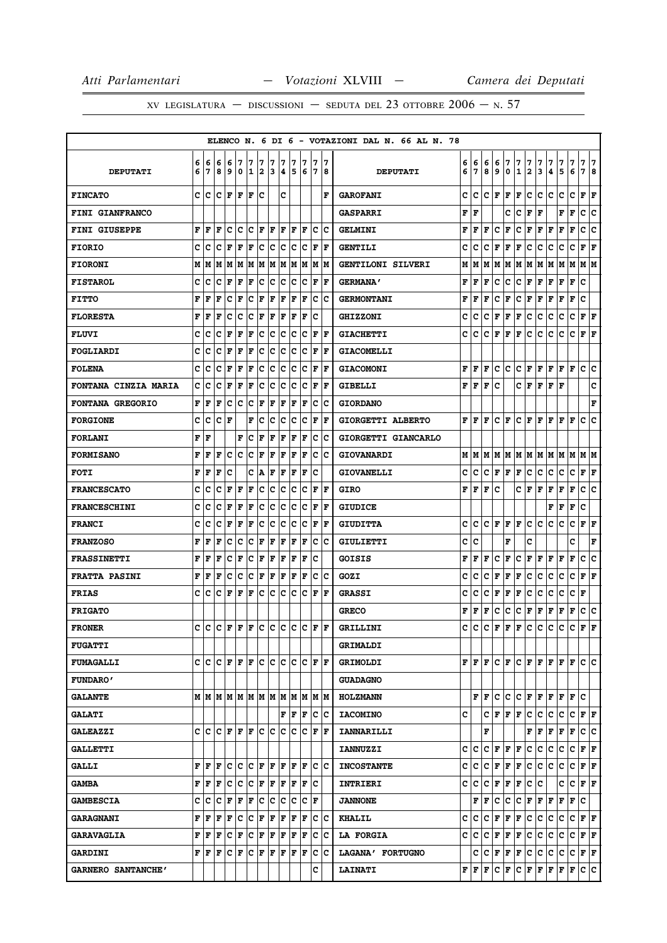|                             |        |                           |        |        |                            |        |                              |        |        |        |                                                                       |        |                         | ELENCO N. 6 DI 6 - VOTAZIONI DAL N. 66 AL N. 78 |        |                                |        |             |              |                   |        |        |                                |        |             |                        |  |
|-----------------------------|--------|---------------------------|--------|--------|----------------------------|--------|------------------------------|--------|--------|--------|-----------------------------------------------------------------------|--------|-------------------------|-------------------------------------------------|--------|--------------------------------|--------|-------------|--------------|-------------------|--------|--------|--------------------------------|--------|-------------|------------------------|--|
| <b>DEPUTATI</b>             | 6<br>6 | 6<br>7                    | 6<br>8 | 6<br>9 | 7<br>0                     | 7<br>1 | 7<br>$\overline{\mathbf{2}}$ | 7<br>3 | 7<br>4 | 7<br>5 | 7<br>6                                                                | 7<br>7 | 17<br>8                 | <b>DEPUTATI</b>                                 | 6<br>6 | 6<br>7                         | 6<br>8 | 6<br>9      | 7<br>0       | 7<br>$\mathbf{1}$ | 7<br>2 | 7<br>3 | 7<br>4                         | 7<br>5 | 7<br>6      | 7<br>7<br>7<br>8       |  |
| <b>FINCATO</b>              | C.     | c                         |        | C F    | lF.                        | ١F     | c                            |        | C      |        |                                                                       |        | l F                     | <b>GAROFANI</b>                                 | c      | c                              | c      | F           | F            | F                 | c      | c      | c                              | c      | $\mathbf c$ | ${\bf F} \mid {\bf F}$ |  |
| <b>FINI GIANFRANCO</b>      |        |                           |        |        |                            |        |                              |        |        |        |                                                                       |        |                         | <b>GASPARRI</b>                                 | F      | F                              |        |             | c            | с                 | F      | F      |                                | F      | F           | c<br>c                 |  |
| <b>FINI GIUSEPPE</b>        | F      | F                         | F      | c      | c                          | c      | ΙF                           | l F    | ΙF     | ΙF     | lF                                                                    | Ιc     | Ιc                      | <b>GELMINI</b>                                  | F      | F                              | F      | c           | F            | c                 | F      | F      | F                              | F      | F           | c<br>c                 |  |
| <b>FIORIO</b>               | с      | c                         | c      | F      | F                          | F      | c                            |        |        |        | C C C C                                                               |        | F F                     | <b>GENTILI</b>                                  | c      | c                              | с      | F           | F            | F                 | с      | с      | с                              | с      | с           | ${\bf F} \mid {\bf F}$ |  |
| <b>FIORONI</b>              | М      | М                         | М      | M      | IМ                         | lМ     | M                            |        | M M    |        | M  M  M                                                               |        | lМ                      | GENTILONI SILVERI                               | М      | М                              | М      | М           | М            | м                 | Μ      | М      | м                              | м      | М           | м<br>IМ                |  |
| <b>FISTAROL</b>             | c      | c                         | с      | F      | F                          | F      | c                            | c      | c      | c      | Ιc                                                                    |        | F   F                   | <b>GERMANA'</b>                                 | F      | F                              | F      | с           | с            | с                 | F      | F      | F                              | F      | F           | c                      |  |
| <b>FITTO</b>                | F      | F                         | F      | c      | F                          | c      | F                            | F      | F      | F      | F                                                                     | c      | lc                      | <b>GERMONTANI</b>                               | F      | F                              | F      | c           | F            | с                 | F      | F      | F                              | F      | F           | c                      |  |
| <b>FLORESTA</b>             | F      | F                         | F      | c      | C                          | c      | F                            | l F    | F      | lF     | ١F                                                                    | c      |                         | <b>GHIZZONI</b>                                 | c      | C                              | c      | F           | F            | F                 | c      | c      | c                              | c      | c           | ${\bf F} \mid {\bf F}$ |  |
| <b>FLUVI</b>                | с      | c                         | c      | F      | F                          | F      | c                            | c      | Iс     | Ιc     | Iс                                                                    | F      | ١F                      | <b>GIACHETTI</b>                                | c      | с                              | с      | F           | F            | F                 | с      | c      | c                              | c      | c           | ${\bf F} \mid {\bf F}$ |  |
| FOGLIARDI                   | c      | c                         | c      | F      | F                          | F      | c                            | c      | Ιc     | c      | Ιc                                                                    | F      | ١F                      | <b>GIACOMELLI</b>                               |        |                                |        |             |              |                   |        |        |                                |        |             |                        |  |
| <b>FOLENA</b>               | c      | c                         | c      | F      | F                          | F      | c                            | lc.    | c      | Iс     | Iс                                                                    |        | F  F                    | <b>GIACOMONI</b>                                | F      | F                              | F      | с           | c            | c                 | F      | F      | F                              | FF     |             | c<br> c                |  |
| <b>FONTANA CINZIA MARIA</b> | c      | c                         | c      | F      | F                          | F      | c                            | c      | c      | c      | Ιc                                                                    | ΙF     | lF                      | GIBELLI                                         | F      | F                              | F      | c           |              | c                 | F      | F      | F                              | F      |             | c                      |  |
| <b>FONTANA GREGORIO</b>     | F      | F                         | F      | c      | c                          | c      | F                            | F      | F      | F      | F                                                                     | c      | Ιc                      | <b>GIORDANO</b>                                 |        |                                |        |             |              |                   |        |        |                                |        |             | F                      |  |
| <b>FORGIONE</b>             | c      | c                         | C      | F      |                            | F      | C                            | lc.    | Ιc     | lc     | Ιc                                                                    | F      | ١F                      | GIORGETTI ALBERTO                               | F      | F                              | F      | c           | F            | c                 | F      | F      | F                              | F      | F           | c<br>C                 |  |
| <b>FORLANI</b>              | F      | F                         |        |        | F                          | c      | F                            | F      | F      | F      | F                                                                     | c      | Ιc                      | GIORGETTI GIANCARLO                             |        |                                |        |             |              |                   |        |        |                                |        |             |                        |  |
| <b>FORMISANO</b>            | F      | F                         | F      | c      | с                          | c      | F                            | F      | F      | F      | lF                                                                    |        | $ {\bf c} \;   {\bf c}$ | GIOVANARDI                                      | М      | IМ                             | M      | м           | M            |                   |        |        | MMMMMMM                        |        |             | M M                    |  |
| <b>FOTI</b>                 | F      | F                         | F      | c      |                            | c      | A                            | F      | F      | F      | F                                                                     | c      |                         | <b>GIOVANELLI</b>                               | c      | c                              | c      | F           | F            | F                 | с      | с      | с                              | c      | с           | F<br>F                 |  |
| <b>FRANCESCATO</b>          | c      | c                         | c      | F      | F                          | F      | c                            |        | c c    |        | $ {\tt C}\, {\tt C}\, $ F $ {\tt F}\, $                               |        |                         | GIRO                                            | F      | F                              | F      | c           |              | c                 | F      | F      | F                              | F      | $\mathbf F$ | ١c<br>c                |  |
| <b>FRANCESCHINI</b>         | c      | c                         | c      | F      | F                          | F      | c                            | c      | c      | c      | Ιc                                                                    | l F    | lF                      | <b>GIUDICE</b>                                  |        |                                |        |             |              |                   |        |        | F                              | F      | F           | c                      |  |
| <b>FRANCI</b>               | c      | c                         | c      | F      | $\mathbf F$                | F      | c                            | c      | c      | c      | Ιc                                                                    |        | F  F                    | <b>GIUDITTA</b>                                 | c      | c                              | c      | F           | F            | F                 | c      | c      | c                              | c      | c           | ${\bf F} \mid {\bf F}$ |  |
| <b>FRANZOSO</b>             | F      | F                         | F      | c      | C                          | c      | ΙF                           | l F    | F      | ΙF     | lF                                                                    |        | $ {\bf c}\> {\bf c}$    | GIULIETTI                                       | c      | c                              |        |             | F            |                   | c      |        |                                |        | c           | F                      |  |
| <b>FRASSINETTI</b>          | F      | F                         | F      | c      | F                          | c      | F                            | F      | F      | F      | F                                                                     | c      |                         | GOISIS                                          | F      | F                              | F      | c           | F            | с                 | F      | F      | F                              | F      | F           | c<br>C                 |  |
| <b>FRATTA PASINI</b>        | F      | F                         | F      | c      | с                          | Ιc     | F                            | F      | F      | F      | F                                                                     |        | $ {\bf c} \;   {\bf c}$ | GOZI                                            | c      | c                              | с      | F           | F            | F                 | c      | c      | с                              | с      | c           | ${\bf F} \mid {\bf F}$ |  |
| <b>FRIAS</b>                | c      | c                         | c      | F      | F                          | F      | c                            | IC.    | Iс     | Ιc     | lc                                                                    | F      | ١F                      | <b>GRASSI</b>                                   | c      | c                              | c      | F           | F            | F                 | с      | c      | c                              | c      | с           | F                      |  |
| <b>FRIGATO</b>              |        |                           |        |        |                            |        |                              |        |        |        |                                                                       |        |                         | <b>GRECO</b>                                    | F      | F                              | F      | с           | c            | с                 | F      | F      | F                              | F      | F           | c<br> c                |  |
| <b>FRONER</b>               | c      | c                         | c      |        | $\bf{F}$ $\bf{F}$ $\bf{F}$ |        | lc.                          |        | c c c  |        |                                                                       |        | C F F                   | <b>GRILLINI</b>                                 | c      | c                              | c      | F           | F            | F                 | с      | c      | c                              | с      | c           | F<br>F                 |  |
| <b>FUGATTI</b>              |        |                           |        |        |                            |        |                              |        |        |        |                                                                       |        |                         | <b>GRIMALDI</b>                                 |        |                                |        |             |              |                   |        |        |                                |        |             |                        |  |
| <b>FUMAGALLI</b>            |        |                           |        |        |                            |        |                              |        |        |        | $C  C   C   F   F   C   C   C   C   F   F $                           |        |                         | <b>GRIMOLDI</b>                                 |        | FF                             | F      | c           | F            |                   |        |        | C F F F F                      |        | $\mathbf F$ | lc lc.                 |  |
| <b>FUNDARO'</b>             |        |                           |        |        |                            |        |                              |        |        |        |                                                                       |        |                         | <b>GUADAGNO</b>                                 |        |                                |        |             |              |                   |        |        |                                |        |             |                        |  |
| <b>GALANTE</b>              |        |                           |        |        |                            |        |                              |        |        |        | $M$   $M$   $M$   $M$   $M$   $M$   $M$   $M$   $M$   $M$   $M$   $M$ |        |                         | <b>HOLZMANN</b>                                 |        | F                              | F      | c           | c            |                   | C F    |        | ${\bf F} \,   \, {\bf F} \,  $ |        | F F C       |                        |  |
| <b>GALATI</b>               |        |                           |        |        |                            |        |                              |        |        |        | ${\bf F} \parallel {\bf F} \parallel {\bf F}$                         |        | c c                     | <b>IACOMINO</b>                                 | c      |                                | c      | F           | F            | F                 | с      | c      | c                              | c      |             | C F F                  |  |
| <b>GALEAZZI</b>             |        |                           |        |        |                            |        |                              |        |        |        | C C C F F F C C C C C F F                                             |        |                         | <b>IANNARILLI</b>                               |        |                                | F      |             |              |                   | F      | F      | F                              | F      | F           | c c                    |  |
| <b>GALLETTI</b>             |        |                           |        |        |                            |        |                              |        |        |        |                                                                       |        |                         | <b>IANNUZZI</b>                                 | c      | c                              | c      | F           | F            | F                 | c      | c      | с                              | с      | c           | FF                     |  |
| <b>GALLI</b>                |        | FF                        | F      |        |                            |        |                              |        |        |        | C C C F F F F F F                                                     |        | c c                     | <b>INCOSTANTE</b>                               | c      | c                              | c      | $\mathbf F$ | $\mathbf{F}$ | $\mathbf F$       | c      | c      | c                              | c      | c           | F F                    |  |
| <b>GAMBA</b>                | F      | F                         | F      |        |                            |        |                              |        |        |        | C C C F F F F F F                                                     | Iс     |                         | <b>INTRIERI</b>                                 | c      | c                              | c      | F           | F            | F                 | c      | с      |                                | c      | c           | FF                     |  |
| <b>GAMBESCIA</b>            | c      | c                         | c      | F      | F                          | F      |                              |        |        |        | c c c c c  <b>F</b>                                                   |        |                         | <b>JANNONE</b>                                  |        | F                              | F      | c           | с            | с                 | F      | F      | F                              | F      | F           | c                      |  |
| <b>GARAGNANI</b>            | F      | F                         | F      | F      | c                          |        | $ {\bf C}  {\bf F} $         | F F    |        |        | F F                                                                   |        | c c                     | <b>KHALIL</b>                                   | c      | с                              | c      | F           | F            | F                 | c      | c      | c                              | с      |             | C F F                  |  |
| <b>GARAVAGLIA</b>           | F      | F                         | F      |        | $ {\bf C}  {\bf F} $       |        | $ {\bf C}  {\bf F} $         | F F    |        |        | F F                                                                   |        | $ {\bf c} \;   {\bf c}$ | <b>LA FORGIA</b>                                | c      | c                              | с      | F           | F            | F                 | c      | c      | с                              | с      | c           | F F                    |  |
| <b>GARDINI</b>              |        | ${\bf F}$ $\bf F$ $\bf F$ |        |        | C F                        |        |                              |        |        |        | C F F F F F                                                           |        | $ {\bf c}\> {\bf c}$    | LAGANA' FORTUGNO                                |        | с                              | с      | F           | F            | F                 | c      | c      | c                              | с      | c           | F F                    |  |
| GARNERO SANTANCHE'          |        |                           |        |        |                            |        |                              |        |        |        |                                                                       | с      |                         | <b>LAINATI</b>                                  |        | ${\bf F} \,   \, {\bf F} \,  $ | F      | c           | F            |                   | C F    |        | F F F F                        |        |             | c c                    |  |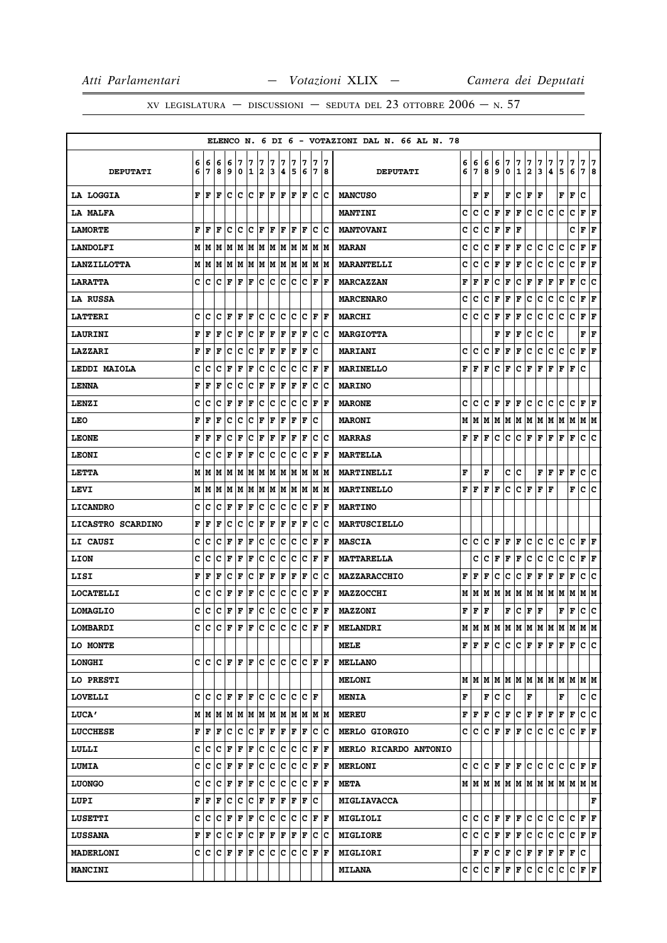|                    |   |           |               |     |           |     |     |     |                                       |     |      |             |       | ELENCO N. 6 DI 6 - VOTAZIONI DAL N. 66 AL N. 78 |   |                           |    |             |                                                    |               |                         |     |                        |      |             |                                 |
|--------------------|---|-----------|---------------|-----|-----------|-----|-----|-----|---------------------------------------|-----|------|-------------|-------|-------------------------------------------------|---|---------------------------|----|-------------|----------------------------------------------------|---------------|-------------------------|-----|------------------------|------|-------------|---------------------------------|
|                    | 6 | 6         | 6             | 16  | 7         | 7   | 7   | 7   | 7                                     | 7   | 7    | 7           | 17    |                                                 | 6 | 6                         | 6  | 6           | 7                                                  | 7             | 7                       | 7   | 7                      | 7    | 7           | 7   7                           |
| <b>DEPUTATI</b>    | 6 | 17        | 8             | و   | 0         | 12  |     | 3   | 4                                     | 5   | 6    |             | 7  8  | <b>DEPUTATI</b>                                 | 6 | 7                         | 8  | 9           | 0                                                  | $\mathbf{1}$  | $\overline{\mathbf{2}}$ | 3   | 4                      | 5    | 6           | 78                              |
| LA LOGGIA          |   | F  F      | F             | lc. | C C F F F |     |     |     |                                       |     | F  F |             | ∣c ∣c | <b>MANCUSO</b>                                  |   | F                         | F  |             | F                                                  | IC.           | F                       | F   |                        | F F. |             | c                               |
| LA MALFA           |   |           |               |     |           |     |     |     |                                       |     |      |             |       | <b>MANTINI</b>                                  | c | c                         | c  | $\mathbf F$ | F                                                  | $\mathbf F$   | c                       | c.  | lc.                    | c    | lc.         | F F                             |
| <b>LAMORTE</b>     | F | F         | F             | Iс  | ١c        | Ιc  | l F | F   | F                                     | F   | F    | с           | Ιc    | <b>MANTOVANI</b>                                | c | c                         | c  | F           | F                                                  | F             |                         |     |                        |      | c           | F<br>ΙF                         |
| <b>LANDOLFI</b>    |   |           |               |     |           |     |     |     |                                       |     |      |             |       | <b>MARAN</b>                                    | c | c                         | c  | F           | F                                                  | F             | c                       | C   | IС                     | c    | c           | $ {\bf F}  {\bf F} $            |
| <b>LANZILLOTTA</b> |   | MM        |               |     |           |     |     |     | M  M  M  M  M  M  M                   | lм  | M    | M           | lМ    | <b>MARANTELLI</b>                               | c | c                         | c  | F           | F                                                  | F             | c                       | с   | с                      | с    | с           | F<br>F                          |
| <b>LARATTA</b>     |   |           | C C C F       |     | ΙF        | F   | c   | lc. | lc.                                   | lc. | Iс   | F           | ١F    | <b>MARCAZZAN</b>                                | F | F                         | F  | c           | F                                                  | c             | F                       | F   | F                      | г    | F           | c<br> c                         |
| LA RUSSA           |   |           |               |     |           |     |     |     |                                       |     |      |             |       | <b>MARCENARO</b>                                | c | c                         | c  | F           | F                                                  | $\mathbf F$   | c                       | с   | c                      | c    | $\mathbf C$ | $ {\bf F}  {\bf F} $            |
| <b>LATTERI</b>     | c | ١c        | с             | l F | F         | F   | Iс  | c   | Iс                                    | c   | Iс   | F           | ١F    | <b>MARCHI</b>                                   | c | c                         | c  | F           | F                                                  | $\mathbf F$   | c                       | c   | c                      | c    | c           | ${\bf F} \,   \, {\bf F}$       |
| <b>LAURINI</b>     | F | F         | F             | Ιc  | F         | c   | F   | F   | F                                     | F   | F    | c           | Iс    | <b>MARGIOTTA</b>                                |   |                           |    | F           | F                                                  | $\mathbf F$   | c                       | c   | c                      |      |             | FF                              |
| LAZZARI            | F | ١F        | l F           | Iс  | Iс        | Ιc  | F   | F   | F                                     | F   | F    | c           |       | <b>MARIANI</b>                                  | c | с                         | c  | F           | F                                                  | F             | c                       | с   | c                      | c    | c           | $ {\bf F}  {\bf F} $            |
| LEDDI MAIOLA       | c | с         | c             | F   | F         | F   | c   | c   | c                                     | Iс  | Iс   | F           | ΙF    | <b>MARINELLO</b>                                | F | F                         | F  | с           | F                                                  | с             | F                       | F   | F                      | F    | F           | c                               |
| <b>LENNA</b>       | F | F         | F             | Iс  | C         | c   | F   | F   | F                                     | l F | F    | c           | Ιc    | <b>MARINO</b>                                   |   |                           |    |             |                                                    |               |                         |     |                        |      |             |                                 |
| LENZI              | c | c         | lc            | F   | F         | F   | c   | c   | c                                     | c   | Ιc   | F           | l F   | <b>MARONE</b>                                   | c | lc.                       | c  | F F         |                                                    | F             | c                       | c.  | lc.                    | c    | c           | $\bf{F}$ $\bf{F}$               |
| LEO                | F | F         | F             | Iс  | Iс        | Ιc  | F   | F   | F                                     | F   | F    | c           |       | <b>MARONI</b>                                   | М |                           | MM |             |                                                    |               |                         |     | M  M  M  M  M  M  M  M |      |             | M M                             |
| <b>LEONE</b>       | F | l F       | F             | с   | F         | Ιc  | F   | F   | F                                     | F   | F    | с           | ΙC    | <b>MARRAS</b>                                   | F | lF.                       | F  | c           | lc.                                                | c             | F                       | F   | F                      | F    | F           | c<br>١c                         |
| <b>LEONI</b>       | c | Ιc        | Ιc            | F   | F         | F   | c   | c   | ∣c                                    | Iс  | Iс   | F           | lF.   | <b>MARTELLA</b>                                 |   |                           |    |             |                                                    |               |                         |     |                        |      |             |                                 |
| LETTA              |   | MM        | lМ            |     | MMMM      |     |     |     | IM IM                                 | lм  | lМ   | lм          | lм    | MARTINELLI                                      | F |                           | F  |             | с                                                  | c             |                         | F   | F                      | lF.  | F           | c<br>Iс                         |
| LEVI               |   | M   M   M |               |     | MM        |     | M M |     | MM                                    |     | M  M |             | M M   | <b>MARTINELLO</b>                               | F | F                         | F  | F           | c                                                  | c             | F                       | F   | ΙF                     |      | F           | c c                             |
| <b>LICANDRO</b>    | c | c         | c             | lF. | F         | F   | c   | c   | c                                     | c   | Ιc   | F           | F     | <b>MARTINO</b>                                  |   |                           |    |             |                                                    |               |                         |     |                        |      |             |                                 |
| LICASTRO SCARDINO  | F | ١F        | F             | Iс  | Ιc        | lc. | F   | F   | F                                     | F   | F    | c           | Ιc    | <b>MARTUSCIELLO</b>                             |   |                           |    |             |                                                    |               |                         |     |                        |      |             |                                 |
| LI CAUSI           | c | C         | c             | F   | F         | F   | c   | Ιc  | c                                     | Iс  | Iс   | F           | F     | <b>MASCIA</b>                                   | c | с                         | c  | F           | F                                                  | F             | c                       | с   | с                      | c    | с           | ${\bf F} \,   \, {\bf F}$       |
| LION               | c | с         | Iс            | F   | F         | F   | c   | Ιc  | Iс                                    | Iс  | Iс   | F           | l F   | <b>MATTARELLA</b>                               |   | c                         | c  | F           | F                                                  | F             | c                       | c   | c                      | c    | c           | F F                             |
| LISI               | F | F         | F             | c   | F         | c   | F   | F   | F                                     | F   | lF.  | c           | Ιc    | <b>MAZZARACCHIO</b>                             | F | F                         | F  | c           | c                                                  | c             | F                       | F   | F                      | F    | F           | c<br>lc.                        |
| <b>LOCATELLI</b>   | c | ١c        | c             | l F | F         | F   | c   | Ιc  | c                                     | c   | Iс   | F           | F     | <b>MAZZOCCHI</b>                                | М | lМ                        | M  | M  M        |                                                    | M             | M                       | MM  |                        | M    | M           | M  M                            |
| <b>LOMAGLIO</b>    | c | c         | Ιc            | F   | F         | F   | c   | c   | c                                     | c   | Iс   | F           | F     | <b>MAZZONI</b>                                  |   | ${\bf F}$ $\bf F$ $\bf F$ |    |             | F                                                  | с             | F F                     |     |                        | F    | F           | c<br>c                          |
| LOMBARDI           | c | c         | c             | F   | l F       | F   | ∣c  | c   | c                                     | c   | c    | $\mathbf F$ | F     | <b>MELANDRI</b>                                 |   | мIм                       |    |             |                                                    |               |                         |     |                        |      |             |                                 |
| LO MONTE           |   |           |               |     |           |     |     |     |                                       |     |      |             |       | MELE                                            |   |                           |    | F F F C     | lc.                                                |               |                         |     | C F F F F F            |      |             | lc lc.                          |
| <b>LONGHI</b>      |   |           | C IC IC IF IF |     |           | F C |     | c c |                                       | lc. | lc   | F  F        |       | <b>MELLANO</b>                                  |   |                           |    |             |                                                    |               |                         |     |                        |      |             |                                 |
| LO PRESTI          |   |           |               |     |           |     |     |     |                                       |     |      |             |       | <b>MELONI</b>                                   |   |                           |    |             |                                                    |               |                         |     |                        |      |             | MMMMMMMMMMMMMMM                 |
| <b>LOVELLI</b>     |   |           |               |     |           |     |     |     | C C C F F F C C C C C F               |     |      |             |       | <b>MENIA</b>                                    | F |                           |    | F C         | lc.                                                |               | F                       |     |                        | F    |             | c c                             |
| <b>LUCA'</b>       |   |           |               |     |           |     |     |     | M   M   M   M   M   M   M   M   M   M |     |      |             | IM IM | <b>MEREU</b>                                    |   | FF                        | F  | с           | F                                                  | c             | F                       | F   | F                      | F    | F           | c c                             |
| <b>LUCCHESE</b>    |   | F  F      | F             | c   | ∣c        | c   | F   | F   | F                                     | F   | F    | c           | c     | <b>MERLO GIORGIO</b>                            |   | c Ic                      |    |             | $ C $ $\mathbf{F}$ $ \mathbf{F} $ $\mathbf{F}$ $ $ |               | c                       | c   | c                      | c    | c           | F F                             |
| LULLI              |   | c  c      | lc            | F   | F         | F   | c   | c   | c                                     | lc. | lc.  | F           | F     | MERLO RICARDO ANTONIO                           |   |                           |    |             |                                                    |               |                         |     |                        |      |             |                                 |
| <b>LUMIA</b>       |   | c  c      | lc            | F   | F         | F   | c   | c   | Iс                                    | lc. | Ιc   | F           | ŀF    | <b>MERLONI</b>                                  |   |                           |    |             |                                                    | C C C F F F C |                         | c.  | c                      | lc.  |             | $ {\bf C}\, $ F $ {\bf F}\, $ F |
| <b>LUONGO</b>      |   | c  c  c   |               | F   | F         | F   | c   | Ιc  | Iс                                    | Ιc  | Ιc   | F           | lF.   | <b>META</b>                                     |   |                           |    |             |                                                    |               |                         |     |                        |      |             |                                 |
| LUPI               | F | ١F        | F             | Iс  | ∣c        | c   | F   | F   | F                                     | F   | F    | c           |       | <b>MIGLIAVACCA</b>                              |   |                           |    |             |                                                    |               |                         |     |                        |      |             | F                               |
| <b>LUSETTI</b>     |   |           |               |     |           |     |     |     | C  C C  F F F C  C C C C              |     |      | F F         |       | MIGLIOLI                                        |   |                           |    |             |                                                    | C C C F F F C |                         | c c |                        | lc.  | lc.         | F F                             |
| <b>LUSSANA</b>     | F | ١F        | c             | Ιc  | F         | c   | F   | F   | F                                     | F   | F    | c           | ΙC    | <b>MIGLIORE</b>                                 |   | c  c                      | C  | F F         |                                                    | F             | c                       | c   | c                      | c    | С           | $ {\bf F}  {\bf F} $            |
| <b>MADERLONI</b>   |   |           | C C C F       |     | F         | F   | c   | c   | c                                     | lc. | Iс   | F           | F     | <b>MIGLIORI</b>                                 |   |                           |    | F F C F     |                                                    | C F F F       |                         |     |                        | F F  |             | lc.                             |
| <b>MANCINI</b>     |   |           |               |     |           |     |     |     |                                       |     |      |             |       | <b>MILANA</b>                                   |   |                           |    |             | C C C F F F                                        |               | lc.                     | c.  | с                      | c    | c           | F F                             |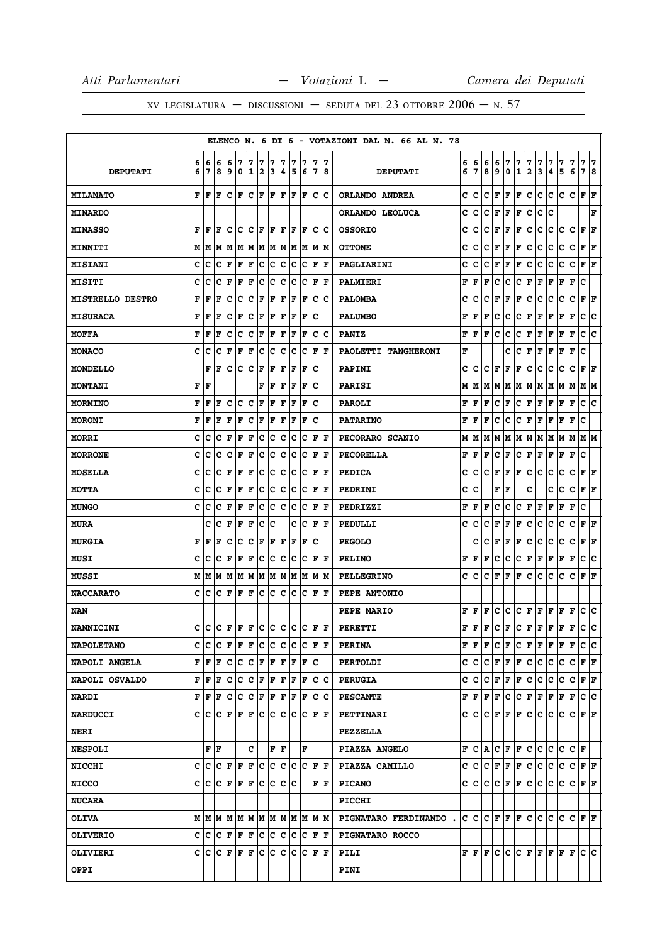|                         |        |        |                          |        |                            |                   |                      |        |                        |        |                                    |        |                              | ELENCO N. 6 DI 6 - VOTAZIONI DAL N. 66 AL N. 78 |        |        |        |        |        |                   |                   |        |        |         |        |                                                                                     |        |
|-------------------------|--------|--------|--------------------------|--------|----------------------------|-------------------|----------------------|--------|------------------------|--------|------------------------------------|--------|------------------------------|-------------------------------------------------|--------|--------|--------|--------|--------|-------------------|-------------------|--------|--------|---------|--------|-------------------------------------------------------------------------------------|--------|
| <b>DEPUTATI</b>         | 6<br>6 | 6<br>7 | 6<br>8                   | 6<br>9 | 7<br>0                     | 7<br>$\mathbf{1}$ | 7<br>$\mathbf{2}$    | 7<br>3 | 7<br>4                 | 7<br>5 | 7<br>6                             | 7<br>7 | 17<br>8                      | <b>DEPUTATI</b>                                 | 6<br>6 | 6<br>7 | 6<br>8 | 6<br>9 | 7<br>0 | 7<br>$\mathbf{1}$ | 7<br>$\mathbf{2}$ | 7<br>3 | 7<br>4 | 7<br>5  | 7<br>6 | 7<br>7                                                                              | 7<br>8 |
| <b>MILANATO</b>         | F      | F      | F                        | c      | l F                        |                   | $ {\bf C}  {\bf F} $ |        | F  F                   |        | F  F                               |        | c c                          | ORLANDO ANDREA                                  | c      | c      | c      | F      | F      | F                 | c                 | c      | c      | c       | c      | ${\bf F} \mid {\bf F}$                                                              |        |
| <b>MINARDO</b>          |        |        |                          |        |                            |                   |                      |        |                        |        |                                    |        |                              | ORLANDO LEOLUCA                                 | c      | C      | c      | F      | F      | F                 | c                 | c      | c      |         |        |                                                                                     | F      |
| <b>MINASSO</b>          | F      | F      | F                        | c      | c                          |                   | C F                  | l F    | ١F                     | ΙF     | ١F                                 | Iс     | ΙC                           | <b>OSSORIO</b>                                  | c      | c      | c      | F      | F      | F                 | c                 | c      | c      | c       | c      | F<br>F                                                                              |        |
| <b>MINNITI</b>          |        | M   M  | M                        |        |                            |                   |                      |        |                        |        | M  M  M  M  M  M  M  M  M  M       |        |                              | <b>OTTONE</b>                                   | c      | c      | с      | F      | F      | F                 | c                 | c      | с      | с       | c      | ${\bf F} \mid {\bf F}$                                                              |        |
| <b>MISIANI</b>          | c      | c      | c                        | F      | F                          | F                 | с                    | lc.    | ∣c                     | Iс     | ΙC                                 | ١F     | ١F                           | PAGLIARINI                                      | c      | c      | c      | F      | F      | F                 | c                 | c      | c      | с       | с      | ΙF<br>F                                                                             |        |
| <b>MISITI</b>           | c      | c      | c                        | F      | F                          | F                 | c                    | c      | Iс                     | c      | Iс                                 | F      | ΙF                           | PALMIERI                                        | F      | F      | F      | c      | c      | с                 | F                 | F      | F      | F       | F      | c                                                                                   |        |
| <b>MISTRELLO DESTRO</b> | F      | F      | F                        | c      | c                          | c                 | F                    | F      | F                      | F      | F                                  | c      | Ιc                           | <b>PALOMBA</b>                                  | c      | c      | c      | F      | F      | F                 | с                 | с      | c      | с       | с      | F<br>F                                                                              |        |
| <b>MISURACA</b>         | F      | F      | F                        | c      | F                          | с                 | F                    | F      | F                      | F      | F                                  | Ιc     |                              | <b>PALUMBO</b>                                  | F      | F      | F      | c      | с      | с                 | F                 | F      | F      | F       | F      | c<br>c                                                                              |        |
| <b>MOFFA</b>            | F      | F      | F                        | c      | с                          | c                 | F                    | F      | F                      | F      | F                                  | c      | ١c                           | <b>PANIZ</b>                                    | F      | F      | F      | c      | с      | с                 | F                 | F      | F      | F       | F      | c<br>c                                                                              |        |
| <b>MONACO</b>           | c      | c      | c                        | F      | F                          | F                 | c                    | lc.    | Iс                     | c      | Ιc                                 | F      | ١F                           | PAOLETTI TANGHERONI                             | F      |        |        |        | c      | c                 | F                 | F      | F      | F       | F      | c                                                                                   |        |
| <b>MONDELLO</b>         |        | F      | F                        | c      | c                          | Iс                | F                    | F      | F                      | F      | F                                  | Iс     |                              | <b>PAPINI</b>                                   | c      | с      | c      | F      | F      | F                 | с                 | с      | c      | с       | с      | ${\bf F} \mid {\bf F}$                                                              |        |
| <b>MONTANI</b>          | F      | F      |                          |        |                            |                   | F                    | l F    | F                      | F      | F                                  | c      |                              | <b>PARISI</b>                                   | М      | М      | М      | М      | Μ      | М                 | М                 | Μ      | М      | Μ       | М      | М<br>M                                                                              |        |
| <b>MORMINO</b>          | F      | F      | F                        | c      | c                          | c                 | F                    | F      | F                      | F      | F                                  | c      |                              | <b>PAROLI</b>                                   | F      | F      | F      | c      | F      | с                 | F                 | F      | F      | F       | F      | с<br>Ιc                                                                             |        |
| <b>MORONI</b>           | F      | F      | F                        | F      | F                          | c                 | F                    | F      | F                      | ΙF     | F                                  | c      |                              | <b>PATARINO</b>                                 | F      | F      | F      | c      | с      | с                 | F                 | F      | F      | F       | F      | c                                                                                   |        |
| <b>MORRI</b>            | c      | c      | c                        | F      | F                          | F                 | c                    | c c    |                        | Iс     | Iс                                 | F      | ١F                           | PECORARO SCANIO                                 | М      | М      | М      | М      | M      | М                 | M                 | M      | M      | M       | M      | M  M                                                                                |        |
| <b>MORRONE</b>          | c      | c      | c                        | c      | F                          | F                 | c                    | C.     | Iс                     | Ιc     | Ιc                                 | F      | ١F                           | PECORELLA                                       | F      | F      | F      | c      | F      | с                 | F                 | F      | F      | F       | F      | c                                                                                   |        |
| <b>MOSELLA</b>          | c      | c      | c                        | F      | F                          | F                 | c                    | c      | с                      | c      | Ιc                                 | F      | ١F                           | <b>PEDICA</b>                                   | c      | c      | c      | F      | F      | F                 | с                 | с      | с      | с       | c      | F<br>F                                                                              |        |
| <b>MOTTA</b>            | c      | c      | c                        | F      | F                          | F                 | c                    |        | c c                    | ∣c     | C F                                |        | ١F                           | PEDRINI                                         | c      | c      |        | F      | F      |                   | c                 |        | c      | с       | с      | ${\bf F} \mid {\bf F}$                                                              |        |
| <b>MUNGO</b>            | c      | c      | c                        | F      | F                          | F                 | c                    | c      | Iс                     | c      | Iс                                 | F      | lF                           | PEDRIZZI                                        | F      | F      | F      | c      | c      | c                 | F                 | F      | F      | F       | F      | c                                                                                   |        |
| <b>MURA</b>             |        | c      | c                        | F      | F                          | F                 | c                    | c      |                        | c      | ∣c                                 |        | $ {\bf F}  {\bf F} $         | PEDULLI                                         | с      | c      | с      | F      | F      | F                 | с                 | с      | с      | c       | с      | ${\bf F} \mid {\bf F}$                                                              |        |
| <b>MURGIA</b>           | F      | F      | F                        | c      | c                          | c                 | F                    | F      | F                      | F      | lF                                 | c      |                              | <b>PEGOLO</b>                                   |        | c      | c      | F      | F      | F                 | с                 | c      | c      | c       | c      | F<br>F                                                                              |        |
| <b>MUSI</b>             | c      | c      | c                        | F      | F                          | F                 | c                    |        | c c                    | lc.    | Iс                                 | F      | lF                           | <b>PELINO</b>                                   | F      | F      | F      | c      | с      | с                 | F                 | F      | F      | F       | F      | c<br>c                                                                              |        |
| <b>MUSSI</b>            | M      | M      |                          |        |                            |                   |                      |        |                        |        | MIMIMIMIMIMIMIMIMIM                |        |                              | <b>PELLEGRINO</b>                               | c      | c      | c      | F      | F      | F                 | с                 | с      | с      | c       | c      | ${\bf F} \mid {\bf F}$                                                              |        |
| <b>NACCARATO</b>        | c      | c      | c                        | F      | F                          | lF                | c                    | IC.    | Iс                     | Iс     |                                    |        | $ {\bf C}  {\bf F}  {\bf F}$ | PEPE ANTONIO                                    |        |        |        |        |        |                   |                   |        |        |         |        |                                                                                     |        |
| NAN                     |        |        |                          |        |                            |                   |                      |        |                        |        |                                    |        |                              | PEPE MARIO                                      | F      | F      | F      | c      | с      | с                 | F                 | F      | F      | F       | F      | c c                                                                                 |        |
| <b>NANNICINI</b>        | c      | c      | c                        | l F    | ١F                         | ١F                | c                    |        | c c                    |        | lc Ic                              |        | IF IF                        | PERETTI                                         | F      | F      | F      | c      | F      | с                 | F                 | F      | F      | F       | F      | c<br>с                                                                              |        |
| <b>NAPOLETANO</b>       | c      | c      | c                        |        | $\bf{F}$ $\bf{F}$ $\bf{F}$ |                   | ∣c                   |        | c c                    |        | C C F F                            |        |                              | <b>PERINA</b>                                   | F      | F      | F      | c      | F      | c                 | F                 |        |        | F F F F |        | c c                                                                                 |        |
| <b>NAPOLI ANGELA</b>    |        | F F    | F                        |        |                            |                   |                      |        |                        |        | C C C F F F F F C                  |        |                              | <b>PERTOLDI</b>                                 | c      | c      | c      | F      | F      | $\mathbf F$       | c.                | c      | c      | c       | c      | F F                                                                                 |        |
| NAPOLI OSVALDO          |        | FF     | F                        | c      | c                          |                   | C F F F              |        |                        |        | F F                                |        | c c                          | <b>PERUGIA</b>                                  | c      | c      | c      | F      | F      | F                 | c                 | c      | c      | c       | c      | F F                                                                                 |        |
| <b>NARDI</b>            |        | FF     |                          |        |                            |                   |                      |        |                        |        | $\mathbf{F}$ C C C F F F F F C C   |        |                              | <b>PESCANTE</b>                                 | F      | F      | F      | F      | с      |                   | C F               |        |        | F F F F |        | c c                                                                                 |        |
| <b>NARDUCCI</b>         | c l    | c      |                          |        | $C$ $F$ $F$ $F$            |                   |                      |        |                        |        |                                    |        |                              | PETTINARI                                       | c      | c      | c      | F      | F      | F                 | c                 | c      | c      | c       |        | C F F                                                                               |        |
| <b>NERI</b>             |        |        |                          |        |                            |                   |                      |        |                        |        |                                    |        |                              | <b>PEZZELLA</b>                                 |        |        |        |        |        |                   |                   |        |        |         |        |                                                                                     |        |
| <b>NESPOLI</b>          |        |        | F  F                     |        |                            | c                 |                      |        | ${\bf F} \mid {\bf F}$ |        | F                                  |        |                              | PIAZZA ANGELO                                   | F      | с      | A      | с      | F      | F                 | c                 | c      | c      | c       | CF     |                                                                                     |        |
| <b>NICCHI</b>           | C I    |        |                          |        |                            |                   |                      |        |                        |        | C  C  F  F  F  C  C  C  C  C  F  F |        |                              | PIAZZA CAMILLO                                  | c      | lc.    |        |        |        | C F F F           | $ {\bf c} $       | c      | c.     | c       |        | $ {\bf C}\, {\bf F}\, {\bf F} $                                                     |        |
| <b>NICCO</b>            |        |        | $C  C C F F F C C C C C$ |        |                            |                   |                      |        |                        |        |                                    |        | F  F                         | <b>PICANO</b>                                   | c      | с      | c      | c      | F      | $\mathbf F$       | c.                | c      | c.     | c       | c.     | FF                                                                                  |        |
| <b>NUCARA</b>           |        |        |                          |        |                            |                   |                      |        |                        |        |                                    |        |                              | <b>PICCHI</b>                                   |        |        |        |        |        |                   |                   |        |        |         |        |                                                                                     |        |
| <b>OLIVA</b>            |        |        |                          |        |                            |                   |                      |        |                        |        |                                    |        |                              | PIGNATARO FERDINANDO.                           |        |        |        |        |        |                   |                   |        |        |         |        | $C  C   C   F   F   C   C   C   C   F   F $                                         |        |
| <b>OLIVERIO</b>         |        | c c    |                          |        |                            |                   |                      |        |                        |        | C  F  F  F  C  C  C  C  C  F  F    |        |                              | PIGNATARO ROCCO                                 |        |        |        |        |        |                   |                   |        |        |         |        |                                                                                     |        |
| <b>OLIVIERI</b>         |        |        |                          |        |                            |                   |                      |        |                        |        | C  C C  F F  F C  C  C  C  C  F F  |        |                              | PILI                                            |        | F F F  |        |        | c c    |                   |                   |        |        |         |        | $ {\bf C}\, {\bf F}\, {\bf F}\, {\bf F}\, {\bf F}\, {\bf F}\, {\bf C}\, {\bf C}\, $ |        |
| OPPI                    |        |        |                          |        |                            |                   |                      |        |                        |        |                                    |        |                              | <b>PINI</b>                                     |        |        |        |        |        |                   |                   |        |        |         |        |                                                                                     |        |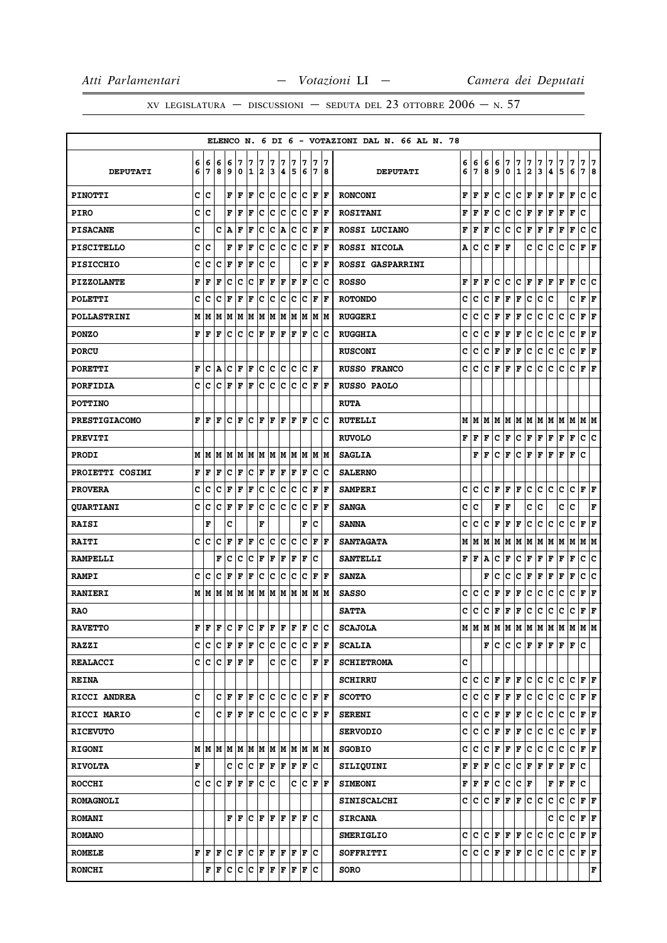|                      |   |                                           |   |       |                                            |    |                             |              |                              |     |                                                                                                                                                                                         |     |                        |    | ELENCO N. 6 DI 6 - VOTAZIONI DAL N. 66 AL N. 78 |     |    |              |             |              |              |              |     |         |                                                                           |             |                                 |     |
|----------------------|---|-------------------------------------------|---|-------|--------------------------------------------|----|-----------------------------|--------------|------------------------------|-----|-----------------------------------------------------------------------------------------------------------------------------------------------------------------------------------------|-----|------------------------|----|-------------------------------------------------|-----|----|--------------|-------------|--------------|--------------|--------------|-----|---------|---------------------------------------------------------------------------|-------------|---------------------------------|-----|
|                      | 6 | 6                                         | 6 | 6     | 7                                          | 7  | 7                           | 7            | 7                            | 7   | 7                                                                                                                                                                                       |     | 7                      | 17 |                                                 | 6   | 6  | 6            | 6           | 7            | 7            | 7            | 7   | 7       | 7                                                                         | 7           | 7                               | 7   |
| <b>DEPUTATI</b>      | 6 | 7                                         | 8 | 9     | 0                                          | 1  | 2                           | 13           | 4                            | 5   | 6                                                                                                                                                                                       |     | 17                     | 18 | <b>DEPUTATI</b>                                 | 6   | 7  | 8            | 9           | 0            | $\mathbf{1}$ | $\mathbf{2}$ | 3   | 4       | 5                                                                         | 6           | 7                               | 8   |
| <b>PINOTTI</b>       | c | c                                         |   | F     | F                                          | F  | c                           | IC.          | ∣c                           | c   | ∣c                                                                                                                                                                                      |     | F F                    |    | <b>RONCONI</b>                                  | F   | F  | F            | с           | c            | c            | F            | F   | F       | F                                                                         | F           | c                               | c   |
| <b>PIRO</b>          | c | c                                         |   | F     | $\mathbf F$                                | F  | c                           | lc.          | c                            | ∣c  | c                                                                                                                                                                                       | F   | ١F                     |    | <b>ROSITANI</b>                                 | F   | F  | F            | c           | с            | с            | F            | F   | F       | F                                                                         | F           | c                               |     |
| <b>PISACANE</b>      | C |                                           | c | Α     | F                                          | F  | ∣c                          |              | C A                          |     | c c                                                                                                                                                                                     |     | F  F                   |    | ROSSI LUCIANO                                   | F   | F  | F            | c           | С            | c            | F            | F   | F       | г                                                                         | $\mathbf F$ | c c                             |     |
| <b>PISCITELLO</b>    |   | c  c                                      |   | F     | F                                          | F  | c                           |              |                              |     | $ {\tt C}\, {\tt C}\, {\tt C}\, {\tt F}\, {\tt F}\,$                                                                                                                                    |     |                        |    | ROSSI NICOLA                                    | Α   | c  | с            | F           | F            |              | с            | c   | c       | c                                                                         | c           | ${\bf F} \,   \, {\bf F}$       |     |
| <b>PISICCHIO</b>     | с | c                                         | c | F     | F                                          | F  | с                           | Ιc           |                              |     |                                                                                                                                                                                         |     | C F F                  |    | <b>ROSSI GASPARRINI</b>                         |     |    |              |             |              |              |              |     |         |                                                                           |             |                                 |     |
| <b>PIZZOLANTE</b>    | F | F                                         | F | c     | c                                          | c  | F                           |              | $ {\bf F}  {\bf F}  {\bf F}$ |     | F                                                                                                                                                                                       |     | c c                    |    | <b>ROSSO</b>                                    | F   | F  | F            | с           | с            | c            | F            | F   | F       | F                                                                         | F           | c                               | lc. |
| <b>POLETTI</b>       | c | c                                         | c | F     | F                                          | F  | c                           | IC.          | ΙC                           | Iс  | Iс                                                                                                                                                                                      |     | F  F                   |    | <b>ROTONDO</b>                                  | c   | c  | c            | F           | F            | F            | c            | c   | c       |                                                                           | c           | ${\bf F} \,   \, {\bf F}$       |     |
| <b>POLLASTRINI</b>   |   | M   M                                     |   |       |                                            |    |                             |              |                              |     | M  M  M  M  M  M  M  M  M  M  M                                                                                                                                                         |     |                        |    | <b>RUGGERI</b>                                  | c   | c  | с            | F           | F            | F            | с            | с   | с       | с                                                                         | c           | ${\bf F} \,   \, {\bf F}$       |     |
| <b>PONZO</b>         | F | F                                         | F | c     | c                                          | Ιc | $\left  \mathbf{F} \right $ |              | F F                          | lF. | ١F                                                                                                                                                                                      |     | c c                    |    | <b>RUGGHIA</b>                                  | c   | c  | с            | F           | F            | F            | c            | c   | c       | c                                                                         | C           | F                               | F   |
| <b>PORCU</b>         |   |                                           |   |       |                                            |    |                             |              |                              |     |                                                                                                                                                                                         |     |                        |    | <b>RUSCONI</b>                                  | c   | c  | c            | F           | F            | F            | с            | с   | с       | с                                                                         | c           | ${\bf F} \mid {\bf F}$          |     |
| <b>PORETTI</b>       | F | c                                         | A |       | C F                                        | F  |                             |              | c c c                        |     | $ C C $ $\mathbf{F}$                                                                                                                                                                    |     |                        |    | <b>RUSSO FRANCO</b>                             | c   | с  | с            | F           | F            | F            | с            | c   | c       | c                                                                         | c           | ${\bf F} \mid {\bf F}$          |     |
| <b>PORFIDIA</b>      | c | c                                         | c | F     | F                                          | F  | lC.                         |              | c c                          | lc. |                                                                                                                                                                                         |     | C F F                  |    | <b>RUSSO PAOLO</b>                              |     |    |              |             |              |              |              |     |         |                                                                           |             |                                 |     |
| <b>POTTINO</b>       |   |                                           |   |       |                                            |    |                             |              |                              |     |                                                                                                                                                                                         |     |                        |    | <b>RUTA</b>                                     |     |    |              |             |              |              |              |     |         |                                                                           |             |                                 |     |
| <b>PRESTIGIACOMO</b> | F | F                                         | F | c     | F                                          | c  | F                           | $\mathbf{F}$ | F                            | F   | F                                                                                                                                                                                       |     | c c                    |    | <b>RUTELLI</b>                                  | М   | М  | М            | М           | М            | М            | M            | М   | M       | M                                                                         | М           | M   M                           |     |
| <b>PREVITI</b>       |   |                                           |   |       |                                            |    |                             |              |                              |     |                                                                                                                                                                                         |     |                        |    | <b>RUVOLO</b>                                   | F   | F  | F            | с           | F            | с            | F            | Г   | F       | г                                                                         | F           | C C                             |     |
| <b>PRODI</b>         | М | М                                         | М | м     | lм                                         |    |                             |              |                              |     | M M M M M M M M                                                                                                                                                                         |     |                        |    | <b>SAGLIA</b>                                   |     | F  | F            | с           | F            | c            | F            | F   | F       | F                                                                         | F           | c                               |     |
| PROIETTI COSIMI      | F | ١F                                        | F | c     | F                                          | Iс | ΙF                          |              | $ {\bf F}  {\bf F} $         | F   | F                                                                                                                                                                                       |     | c c                    |    | <b>SALERNO</b>                                  |     |    |              |             |              |              |              |     |         |                                                                           |             |                                 |     |
| <b>PROVERA</b>       | c | c                                         | c | F     | F                                          | F  | с                           |              | c c                          |     | C C F F                                                                                                                                                                                 |     |                        |    | <b>SAMPERI</b>                                  | c   | c  | c            | F           | F            | F            | с            | с   | с       | c                                                                         | c           | ${\bf F} \mid {\bf F}$          |     |
| <b>OUARTIANI</b>     | c | c                                         | c | F     | F                                          | F  | c                           | lc.          | Iс                           | lc  | Ιc                                                                                                                                                                                      | F   |                        | lF | <b>SANGA</b>                                    | c   | c  |              | F           | F            |              | с            | c   |         | c                                                                         | C           |                                 | F   |
| <b>RAISI</b>         |   | F                                         |   | c     |                                            |    | F                           |              |                              |     | F                                                                                                                                                                                       | ΙC  |                        |    | <b>SANNA</b>                                    | c   | с  | с            | F           | F            | F            | с            | с   | с       | с                                                                         |             | C F F                           |     |
| <b>RAITI</b>         | c | c                                         | c | F     | F                                          | F  | c                           | с            | c                            | c   | Iс                                                                                                                                                                                      |     | F<br>١F                |    | <b>SANTAGATA</b>                                | М   | М  | М            | М           | Μ            | М            | Μ            | Μ   | M       | Μ                                                                         | М           | М                               | M   |
| <b>RAMPELLI</b>      |   |                                           | F | c     | c                                          | c  | F                           | F            | $ {\bf F} $                  | F   | ΙF                                                                                                                                                                                      | Ιc  |                        |    | <b>SANTELLI</b>                                 | F   | F  | А            | c           | F            | с            | Г            | F   | F       | г                                                                         | F           | с                               | c   |
| <b>RAMPI</b>         | c | c                                         | c | F     | F                                          | F  | c                           |              | c c                          | ∣c  | lc                                                                                                                                                                                      | F   | ١F                     |    | <b>SANZA</b>                                    |     |    | F            | c           | с            | с            | F            | F   | F       | F                                                                         | F           | c                               | с   |
| <b>RANIERI</b>       |   |                                           |   |       |                                            |    |                             |              |                              |     |                                                                                                                                                                                         |     |                        |    | <b>SASSO</b>                                    | c   | c  | c            | F           | F            | F            | c            | c   | c       | c                                                                         | c           | F                               | F   |
| <b>RAO</b>           |   |                                           |   |       |                                            |    |                             |              |                              |     |                                                                                                                                                                                         |     |                        |    | <b>SATTA</b>                                    | с   | c  | с            | F           | F            | F            | с            | c   | с       | с                                                                         | с           | ${\bf F} \mid {\bf F}$          |     |
| <b>RAVETTO</b>       | F | ١F                                        | F |       | C F                                        |    |                             |              | C F F F                      | ١F  | ١F                                                                                                                                                                                      |     | lc Ic                  |    | <b>SCAJOLA</b>                                  | М   | lМ | M            | M           | M            | М            | M            | М   | M       | M                                                                         | M           | MM                              |     |
| <b>RAZZI</b>         |   |                                           |   |       |                                            |    |                             |              |                              |     | $C  C   C   F   F   C   C   C   C   F   F $                                                                                                                                             |     |                        |    | <b>SCALIA</b>                                   |     |    | F            |             | c c          |              |              |     |         | $ {\bf C}\, {\bf F}\, {\bf F}\, {\bf F}\, {\bf F}\, {\bf F}\, {\bf C}\, $ |             |                                 |     |
| <b>REALACCI</b>      |   | c c                                       |   |       | $C$ $\mathbf{F}$ $\mathbf{F}$ $\mathbf{F}$ |    |                             |              | c c c                        |     |                                                                                                                                                                                         |     | ${\bf F} \mid {\bf F}$ |    | <b>SCHIETROMA</b>                               | c   |    |              |             |              |              |              |     |         |                                                                           |             |                                 |     |
| <b>REINA</b>         |   |                                           |   |       |                                            |    |                             |              |                              |     |                                                                                                                                                                                         |     |                        |    | <b>SCHIRRU</b>                                  | c c |    |              | C F         | $\mathbf{F}$ | $\mathbf F$  | c.           | c   | c.      | c                                                                         |             | C F F                           |     |
| RICCI ANDREA         | C |                                           |   | C F F |                                            |    |                             |              |                              |     | $ \mathbf{F} $ c $ c $ c $ c $ c $ \mathbf{F} $ F                                                                                                                                       |     |                        |    | <b>SCOTTO</b>                                   | c   | c  | c            | F           | F            | F            | c.           | c   | c.      | c                                                                         |             | $ {\bf C}\, {\bf F}\, {\bf F} $ |     |
| RICCI MARIO          | c |                                           |   |       |                                            |    |                             |              |                              |     | $C$ $\bf{F}$ $\bf{F}$ $\bf{F}$ $\bf{C}$ $\bf{C}$ $\bf{C}$ $\bf{C}$ $\bf{F}$ $\bf{F}$                                                                                                    |     |                        |    | <b>SERENI</b>                                   | c   | c  | c            | F           | F            | F            | c            | c   | c       | c                                                                         | C           | F F                             |     |
| <b>RICEVUTO</b>      |   |                                           |   |       |                                            |    |                             |              |                              |     |                                                                                                                                                                                         |     |                        |    | <b>SERVODIO</b>                                 | c   | c  | c            | $\mathbf F$ | F            | $\mathbf F$  | c.           | c   | c.      | с                                                                         |             | C F F                           |     |
| <b>RIGONI</b>        |   |                                           |   |       |                                            |    |                             |              |                              |     |                                                                                                                                                                                         |     |                        |    | <b>SGOBIO</b>                                   | c   | c  | c            | F           | F            | $\mathbf F$  | c            | c   | c       | c                                                                         |             | C  F  F                         |     |
| <b>RIVOLTA</b>       | F |                                           |   |       |                                            |    |                             |              |                              |     | C  C C  F F  F F  F C                                                                                                                                                                   |     |                        |    | SILIQUINI                                       | F   | F  | F            | c           | с            |              |              |     | C F F F | F F C                                                                     |             |                                 |     |
| <b>ROCCHI</b>        |   | c  c                                      |   |       | C F F F C C                                |    |                             |              |                              |     | C C F F                                                                                                                                                                                 |     |                        |    | <b>SIMEONI</b>                                  | F   | F  | F            | c           | c            | C F          |              |     |         | F F F C                                                                   |             |                                 |     |
| <b>ROMAGNOLI</b>     |   |                                           |   |       |                                            |    |                             |              |                              |     |                                                                                                                                                                                         |     |                        |    | <b>SINISCALCHI</b>                              | c   | c  | $\mathbf{C}$ | $\mathbf F$ | $\mathbf{F}$ | $\mathbf F$  |              | c c | c       | c                                                                         |             | C F F                           |     |
| <b>ROMANI</b>        |   |                                           |   |       |                                            |    |                             |              |                              |     | $\mathbf{F} \left  \mathbf{F} \right  \mathbf{C} \left  \mathbf{F} \right  \mathbf{F} \left  \mathbf{F} \right  \mathbf{F} \left  \mathbf{C} \right $                                   |     |                        |    | <b>SIRCANA</b>                                  |     |    |              |             |              |              |              |     | c       | c                                                                         | $\mathbf c$ | $ {\bf F}  {\bf F} $            |     |
| <b>ROMANO</b>        |   |                                           |   |       |                                            |    |                             |              |                              |     |                                                                                                                                                                                         |     |                        |    | <b>SMERIGLIO</b>                                | c   | c  | $\mathbf{C}$ | $\mathbf F$ | $\mathbf{F}$ | F            | c            | c   | с       | c                                                                         | c           | F F                             |     |
| <b>ROMELE</b>        |   | ${\bf F} \,   \, {\bf F} \,   \, {\bf F}$ |   |       |                                            |    |                             |              |                              |     | C  F  C  F  F  F  F  C                                                                                                                                                                  |     |                        |    | SOFFRITTI                                       |     |    |              |             | C C C F F    | $\mathbf F$  | c            |     | c c     |                                                                           |             | C C F F                         |     |
| <b>RONCHI</b>        |   |                                           |   |       |                                            |    |                             |              |                              |     | $\mathbf{F} \,   \, \mathbf{F} \,   \, \mathbf{C} \,   \, \mathbf{C} \,   \, \mathbf{F} \,   \, \mathbf{F} \,   \, \mathbf{F} \,   \, \mathbf{F} \,   \, \mathbf{F} \,   \, \mathbf{F}$ | lc. |                        |    | <b>SORO</b>                                     |     |    |              |             |              |              |              |     |         |                                                                           |             |                                 | F   |